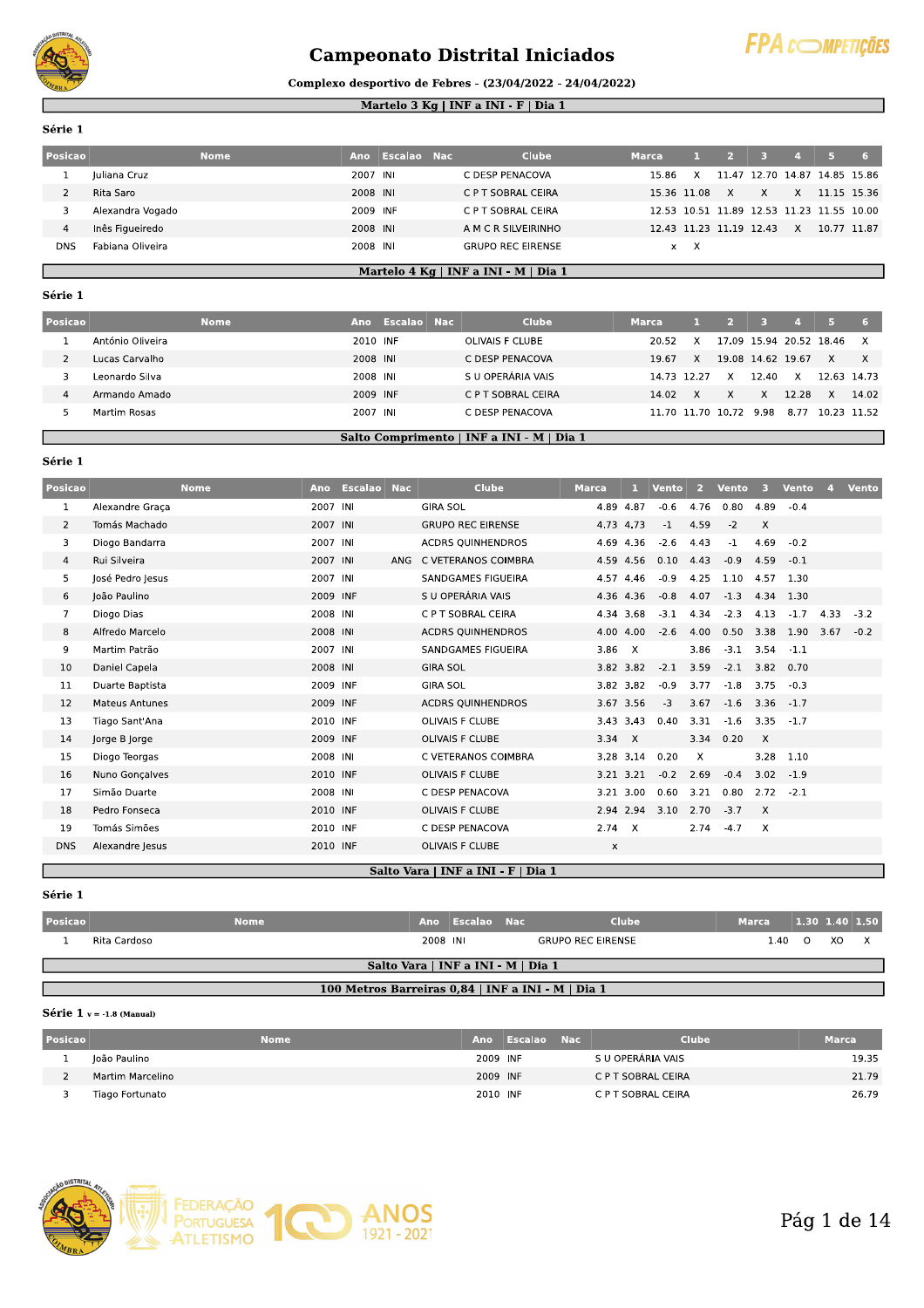

# **Campeonato Distrital Iniciados**



# Complexo desportivo de Febres - (23/04/2022 - 24/04/2022)

### Martelo 3 Kg | INF a INI - F | Dia 1

Série 1

| Posicao |                  | <b>Nome</b> | Ano      | Escalao Nac | <b>Clube</b>             | <b>Marca</b> |             |                         |             |    |                                           |  |
|---------|------------------|-------------|----------|-------------|--------------------------|--------------|-------------|-------------------------|-------------|----|-------------------------------------------|--|
|         | Juliana Cruz     |             | 2007 INI |             | C DESP PENACOVA          | 15.86        |             | 1147                    | 12.70 14.87 |    | 14.85 15.86                               |  |
|         | Rita Saro        |             | 2008 INI |             | C P T SOBRAL CEIRA       |              | 15.36 11.08 |                         | x           | X. | 11.15 15.36                               |  |
|         | Alexandra Vogado |             | 2009 INF |             | C P T SOBRAL CEIRA       |              |             |                         |             |    | 12.53 10.51 11.89 12.53 11.23 11.55 10.00 |  |
|         | Inês Figueiredo  |             | 2008 INI |             | A M C R SILVEIRINHO      |              |             | 12.43 11.23 11.19 12.43 |             | X  | 10.77 11.87                               |  |
| DNS     | Fabiana Oliveira |             | 2008 INI |             | <b>GRUPO REC EIRENSE</b> | $\mathsf{x}$ |             |                         |             |    |                                           |  |

# Martelo 4 Kg | INF a INI - M | Dia 1

#### Série 1

| Posicao |                  | <b>Nome</b> | Ano      | Escalao Nac | <b>Clube</b>       | <b>Marca</b> |       |             |                   |                   |       |                         |             |
|---------|------------------|-------------|----------|-------------|--------------------|--------------|-------|-------------|-------------------|-------------------|-------|-------------------------|-------------|
|         | António Oliveira |             | 2010 INF |             | OLIVAIS F CLUBE    |              | 20.52 | x           |                   |                   |       | 17.09 15.94 20.52 18.46 | x           |
|         | Lucas Carvalho   |             | 2008 INI |             | C DESP PENACOVA    |              | 19.67 | X           |                   | 19.08 14.62 19.67 |       | X                       | X           |
|         | Leonardo Silva   |             | 2008 INI |             | S U OPERÁRIA VAIS  |              |       | 14.73 12.27 | x                 | 12.40             | X     |                         | 12.63 14.73 |
| 4       | Armando Amado    |             | 2009 INF |             | C P T SOBRAL CEIRA |              | 14.02 | X           | $\times$          | X                 | 12.28 | $\mathsf{X}$            | 14.02       |
|         | Martim Rosas     |             | 2007 INI |             | C DESP PENACOVA    |              |       |             | 11.70 11.70 10.72 | 9.98              | 8.77  | 10.23 11.52             |             |

# Salto Comprimento | INF a INI - M | Dia 1

Série 1

| <b>Posicao</b> |                       | <b>Nome</b> |          | Ano Escalao Nac |     | <b>Clube</b>                       | <b>Marca</b> |              | <b>Vento</b> | 2    | <b>Vento</b> | 3.       | <b>Vento</b> | $\overline{A}$ | <b>Vento</b> |
|----------------|-----------------------|-------------|----------|-----------------|-----|------------------------------------|--------------|--------------|--------------|------|--------------|----------|--------------|----------------|--------------|
| $\mathbf{1}$   | Alexandre Graca       |             | 2007 INI |                 |     | <b>GIRA SOL</b>                    | 4.89 4.87    |              | $-0.6$       | 4.76 | 0.80         | 4.89     | $-0.4$       |                |              |
| $\overline{2}$ | Tomás Machado         |             | 2007 INI |                 |     | <b>GRUPO REC EIRENSE</b>           | 4.73 4.73    |              | -1           | 4.59 | $-2$         | $\times$ |              |                |              |
| 3              | Diogo Bandarra        |             | 2007 INI |                 |     | <b>ACDRS OUINHENDROS</b>           |              | 4.69 4.36    | $-2.6$       | 4.43 | $-1$         | 4.69     | $-0.2$       |                |              |
| 4              | Rui Silveira          |             | 2007 INI |                 | ANG | C VETERANOS COIMBRA                |              | 4.59 4.56    | 0.10         | 4.43 | $-0.9$       | 4.59     | $-0.1$       |                |              |
| 5              | José Pedro Jesus      |             | 2007 INI |                 |     | SANDGAMES FIGUEIRA                 |              | 4.57 4.46    | $-0.9$       | 4.25 | 1.10         | 4.57     | 1.30         |                |              |
| 6              | João Paulino          |             | 2009 INF |                 |     | S U OPERÁRIA VAIS                  |              | 4.36 4.36    | $-0.8$       | 4.07 | $-1.3$       | 4.34     | 1.30         |                |              |
| $\overline{7}$ | Diogo Dias            |             | 2008 INI |                 |     | C P T SOBRAL CEIRA                 |              | 4.34 3.68    | $-3.1$       | 4.34 | $-2.3$       | 4.13     | $-1.7$       | 4.33           | $-3.2$       |
| 8              | Alfredo Marcelo       |             | 2008 INI |                 |     | <b>ACDRS QUINHENDROS</b>           |              | 4.00 4.00    | $-2.6$       | 4.00 | 0.50         | 3.38     | 1.90         | 3.67           | $-0.2$       |
| 9              | Martim Patrão         |             | 2007 INI |                 |     | SANDGAMES FIGUEIRA                 | 3.86         | $\mathsf{X}$ |              | 3.86 | $-3.1$       | 3.54     | $-1.1$       |                |              |
| 10             | Daniel Capela         |             | 2008 INI |                 |     | <b>GIRA SOL</b>                    |              | 3.82 3.82    | $-2.1$       | 3.59 | $-2.1$       | 3.82     | 0.70         |                |              |
| 11             | Duarte Baptista       |             | 2009 INF |                 |     | <b>GIRA SOL</b>                    |              | 3.82 3.82    | $-0.9$       | 3.77 | $-1.8$       | 3.75     | $-0.3$       |                |              |
| 12             | <b>Mateus Antunes</b> |             | 2009 INF |                 |     | <b>ACDRS QUINHENDROS</b>           |              | 3.67 3.56    | $-3$         | 3.67 | $-1.6$       | 3.36     | $-1.7$       |                |              |
| 13             | Tiago Sant'Ana        |             | 2010 INF |                 |     | OLIVAIS F CLUBE                    |              | 3.43 3.43    | 0.40         | 3.31 | $-1.6$       | 3.35     | $-1.7$       |                |              |
| 14             | Jorge B Jorge         |             | 2009 INF |                 |     | OLIVAIS F CLUBE                    | 3.34 X       |              |              | 3.34 | 0.20         | $\times$ |              |                |              |
| 15             | Diogo Teorgas         |             | 2008 INI |                 |     | C VETERANOS COIMBRA                |              | 3.28 3.14    | 0.20         | X    |              | 3.28     | 1.10         |                |              |
| 16             | Nuno Gonçalves        |             | 2010 INF |                 |     | OLIVAIS F CLUBE                    |              | 3.21 3.21    | $-0.2$       | 2.69 | $-0.4$       | 3.02     | $-1.9$       |                |              |
| 17             | Simão Duarte          |             | 2008 INI |                 |     | C DESP PENACOVA                    |              | 3.21 3.00    | 0.60         | 3.21 | 0.80         | 2.72     | $-2.1$       |                |              |
| 18             | Pedro Fonseca         |             | 2010 INF |                 |     | <b>OLIVAIS F CLUBE</b>             |              | 2.94 2.94    | 3.10         | 2.70 | $-3.7$       | $\times$ |              |                |              |
| 19             | Tomás Simões          |             | 2010 INF |                 |     | C DESP PENACOVA                    | 2.74 X       |              |              | 2.74 | $-4.7$       | $\times$ |              |                |              |
| <b>DNS</b>     | Alexandre Jesus       |             | 2010 INF |                 |     | OLIVAIS F CLUBE                    | x            |              |              |      |              |          |              |                |              |
|                |                       |             |          |                 |     | Salto Vara   INF a INI - F   Dia 1 |              |              |              |      |              |          |              |                |              |

#### Salto Vara | INF a INI - F | Dia 1

Série 1

| <b>Posicao</b> |                                    | <b>Nome</b>                                       | Ano      | - Escalao - Nac |  | <b>Clube</b>             | <b>Marca</b> |        | 1.30 1.40 1.50 |  |  |
|----------------|------------------------------------|---------------------------------------------------|----------|-----------------|--|--------------------------|--------------|--------|----------------|--|--|
|                | Rita Cardoso                       |                                                   | 2008 INI |                 |  | <b>GRUPO REC EIRENSE</b> |              | 1.40 0 | XO.            |  |  |
|                | Salto Vara   INF a INI - M   Dia 1 |                                                   |          |                 |  |                          |              |        |                |  |  |
|                |                                    | 100 Metros Barreiras 0.84   INF a INI - M   Dia 1 |          |                 |  |                          |              |        |                |  |  |

#### Série  $1$  v = -1.8 (Manual)

| <b>Posicao</b> | <b>Nome</b>      |          | Ano Escalao Nac | <b>Clube</b>       | <b>Marca</b> |
|----------------|------------------|----------|-----------------|--------------------|--------------|
|                | loão Paulino     | 2009 INF |                 | S U OPERÁRIA VAIS  | 19.35        |
|                | Martim Marcelino | 2009 INF |                 | C P T SOBRAL CEIRA | 21.79        |
|                | Tiago Fortunato  | 2010 INF |                 | C P T SOBRAL CEIRA | 26.79        |

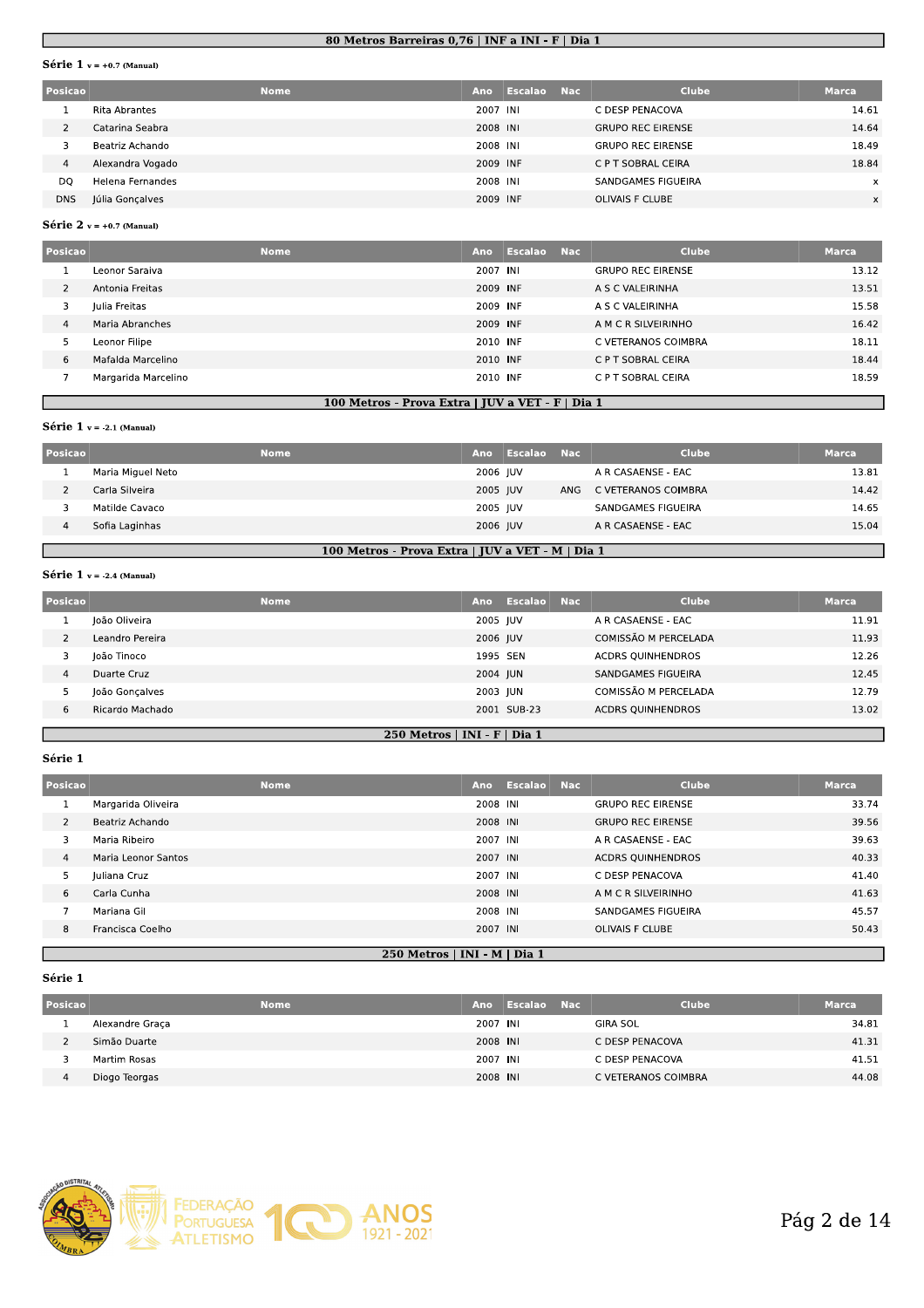#### <u>80 Metros Barreiras 0,76 | INF a INI - F | Dia 1</u>

#### **Serie 1**  $v = +0.7$  (Manual)

|                | 80 Metros Barreiras 0,76   INF a INI - F   Dia 1 |             |            |                |            |                          |              |  |  |  |
|----------------|--------------------------------------------------|-------------|------------|----------------|------------|--------------------------|--------------|--|--|--|
|                | <b>Série</b> $1$ v = +0.7 (Manual)               |             |            |                |            |                          |              |  |  |  |
| Posicao        |                                                  | <b>Nome</b> | <b>Ano</b> | <b>Escalao</b> | <b>Nac</b> | <b>Clube</b>             | <b>Marca</b> |  |  |  |
|                | <b>Rita Abrantes</b>                             |             | 2007 INI   |                |            | C DESP PENACOVA          | 14.61        |  |  |  |
| $\overline{2}$ | Catarina Seabra                                  |             | 2008 INI   |                |            | <b>GRUPO REC EIRENSE</b> | 14.64        |  |  |  |
| 3              | Beatriz Achando                                  |             | 2008 INI   |                |            | <b>GRUPO REC EIRENSE</b> | 18.49        |  |  |  |
| $\overline{4}$ | Alexandra Vogado                                 |             | 2009 INF   |                |            | C P T SOBRAL CEIRA       | 18.84        |  |  |  |
| DQ             | Helena Fernandes                                 |             | 2008 INI   |                |            | SANDGAMES FIGUEIRA       | $\times$     |  |  |  |
| <b>DNS</b>     | Júlia Gonçalves                                  |             | 2009 INF   |                |            | <b>OLIVAIS F CLUBE</b>   | $\times$     |  |  |  |

#### **Serie**  $\angle$  v = +0.7 (Manual)

| 4              | Alexandra Vogado            | <b>ZUUY INF</b> |                              | C P I SOBRAL CEIRA       | 18.84        |
|----------------|-----------------------------|-----------------|------------------------------|--------------------------|--------------|
| DQ             | Helena Fernandes            | 2008 INI        |                              | SANDGAMES FIGUEIRA       | $\times$     |
| <b>DNS</b>     | Júlia Gonçalves             | 2009 INF        |                              | <b>OLIVAIS F CLUBE</b>   | $\times$     |
|                | Série $2 v = +0.7$ (Manual) |                 |                              |                          |              |
| Posicao        | <b>Nome</b>                 | Ano             | <b>Escalao</b><br><b>Nac</b> | <b>Clube</b>             | <b>Marca</b> |
|                | Leonor Saraiva              | 2007 INI        |                              | <b>GRUPO REC EIRENSE</b> | 13.12        |
| $\overline{2}$ | Antonia Freitas             | 2009 INF        |                              | A S C VALEIRINHA         | 13.51        |
| 3              | Julia Freitas               | 2009 INF        |                              | A S C VALEIRINHA         | 15.58        |
| $\overline{4}$ | Maria Abranches             | 2009 INF        |                              | A M C R SILVEIRINHO      | 16.42        |
| 5              | Leonor Filipe               | 2010 INF        |                              | C VETERANOS COIMBRA      | 18.11        |
| 6              | Mafalda Marcelino           | 2010 INF        |                              | C P T SOBRAL CEIRA       | 18.44        |
| 7              | Margarida Marcelino         | 2010 INF        |                              | C P T SOBRAL CEIRA       | 18.59        |

#### <u>100 Metros - Prova Extra | JUV a VEI - F | Dia 1</u>

#### **Serie 1**  $v = -2.1$  (Manual)

|                | Margarida Marcelino         |             | 2010 INF                                         |                       | C P T SOBRAL CEIRA        | 18.59        |
|----------------|-----------------------------|-------------|--------------------------------------------------|-----------------------|---------------------------|--------------|
|                |                             |             | 100 Metros - Prova Extra   JUV a VET - F   Dia 1 |                       |                           |              |
|                | Série $1$ v = -2.1 (Manual) |             |                                                  |                       |                           |              |
| Posicao        |                             | <b>Nome</b> | Ano                                              | Escalao<br><b>Nac</b> | Clube                     | <b>Marca</b> |
|                | Maria Miguel Neto           |             | 2006 IUV                                         |                       | A R CASAENSE - EAC        | 13.81        |
| $\overline{2}$ | Carla Silveira              |             | 2005 JUV                                         | ANG                   | C VETERANOS COIMBRA       | 14.42        |
| 3              | Matilde Cavaco              |             | 2005 JUV                                         |                       | <b>SANDGAMES FIGUEIRA</b> | 14.65        |
| $\overline{4}$ | Sofia Laginhas              |             | 2006 JUV                                         |                       | A R CASAENSE - EAC        | 15.04        |
|                |                             |             | 100 Metros - Prova Extra   JUV a VET - M   Dia 1 |                       |                           |              |

#### <u>Metros - Prova Extra | JUV a VEI - M | Dia 1</u>

#### **Serie**  $I$   $v = -2.4$  (Manual)

| $\overline{4}$ | Sofia Laginhas              |             | 2006 JUV                                         |             |            | A R CASAENSE - EAC        | 15.04        |
|----------------|-----------------------------|-------------|--------------------------------------------------|-------------|------------|---------------------------|--------------|
|                |                             |             | 100 Metros - Prova Extra   JUV a VET - M   Dia 1 |             |            |                           |              |
|                | Série $1 v = -2.4$ (Manual) |             |                                                  |             |            |                           |              |
| <b>Posicao</b> |                             | <b>Nome</b> | Ano                                              | Escalao     | <b>Nac</b> | <b>Clube</b>              | <b>Marca</b> |
|                | João Oliveira               |             | 2005 JUV                                         |             |            | A R CASAENSE - EAC        | 11.91        |
| $\overline{2}$ | Leandro Pereira             |             | 2006 JUV                                         |             |            | COMISSÃO M PERCELADA      | 11.93        |
| 3              | loão Tinoco                 |             | 1995 SEN                                         |             |            | <b>ACDRS QUINHENDROS</b>  | 12.26        |
| $\overline{4}$ | Duarte Cruz                 |             | 2004 JUN                                         |             |            | <b>SANDGAMES FIGUEIRA</b> | 12.45        |
| 5              | loão Goncalves              |             | 2003 JUN                                         |             |            | COMISSÃO M PERCELADA      | 12.79        |
| 6              | Ricardo Machado             |             |                                                  | 2001 SUB-23 |            | <b>ACDRS QUINHENDROS</b>  | 13.02        |

#### <u>250 Metros | INI - F | Dia 1</u>

#### **Serie** 1

| 6              | Ricardo Machado     |                              | 2001 SUB-23     | <b>ACDRS QUINHENDROS</b> | 13.02 |
|----------------|---------------------|------------------------------|-----------------|--------------------------|-------|
|                |                     | 250 Metros   INI - F   Dia 1 |                 |                          |       |
|                |                     |                              |                 |                          |       |
| Série 1        |                     |                              |                 |                          |       |
| Posicao        | <b>Nome</b>         |                              | Ano Escalao Nac | <b>Clube</b>             | Marca |
|                |                     |                              |                 |                          |       |
| 1              | Margarida Oliveira  | 2008 INI                     |                 | <b>GRUPO REC EIRENSE</b> | 33.74 |
| 2              | Beatriz Achando     | 2008 INI                     |                 | <b>GRUPO REC EIRENSE</b> | 39.56 |
| 3              | Maria Ribeiro       | 2007 INI                     |                 | A R CASAENSE - EAC       | 39.63 |
| $\overline{4}$ | Maria Leonor Santos | 2007 INI                     |                 | <b>ACDRS QUINHENDROS</b> | 40.33 |
| 5              | Juliana Cruz        | 2007 INI                     |                 | C DESP PENACOVA          | 41.40 |
| 6              | Carla Cunha         | 2008 INI                     |                 | A M C R SILVEIRINHO      | 41.63 |
| 7              | Mariana Gil         | 2008 INI                     |                 | SANDGAMES FIGUEIRA       | 45.57 |
| 8              | Francisca Coelho    | 2007 INI                     |                 | OLIVAIS F CLUBE          | 50.43 |
|                |                     | ------                       |                 |                          |       |

#### serie 1

| 8              | Francisca Coelho |             | 2007 INI                     |                    | <b>OLIVAIS F CLUBE</b> | 50.43        |
|----------------|------------------|-------------|------------------------------|--------------------|------------------------|--------------|
|                |                  |             | 250 Metros   INI - M   Dia 1 |                    |                        |              |
| Série 1        |                  |             |                              |                    |                        |              |
| Posicao        |                  | <b>Nome</b> | Ano                          | <b>Escalao</b> Nac | Clube                  | <b>Marca</b> |
|                | Alexandre Graça  |             | 2007 INI                     |                    | <b>GIRA SOL</b>        | 34.81        |
| $\overline{2}$ | Simão Duarte     |             | 2008 INI                     |                    | C DESP PENACOVA        | 41.31        |
| 3              | Martim Rosas     |             | 2007 INI                     |                    | C DESP PENACOVA        | 41.51        |
| 4              | Diogo Teorgas    |             | 2008 INI                     |                    | C VETERANOS COIMBRA    | 44.08        |
|                |                  |             |                              |                    |                        |              |

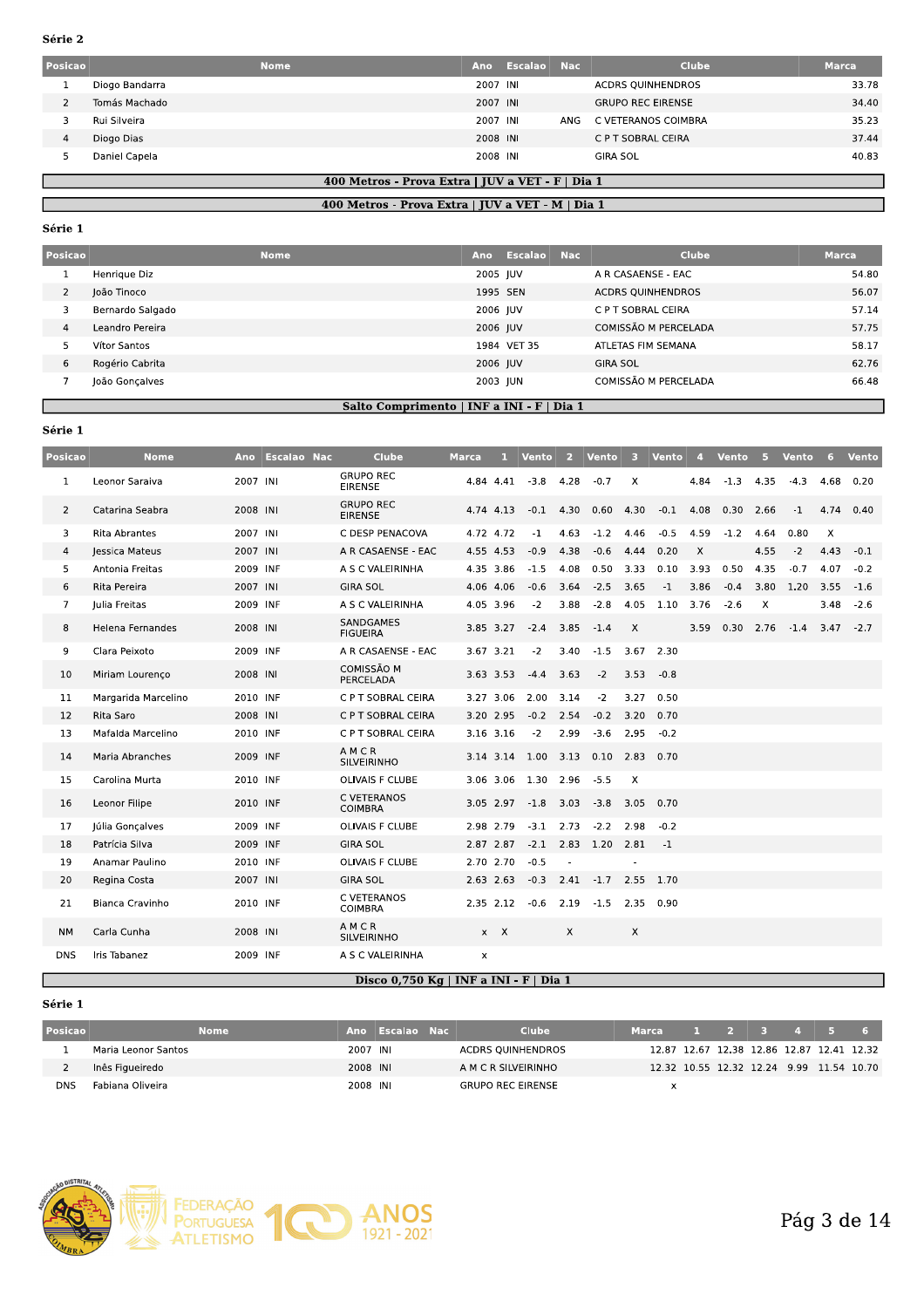| <b>Posicao</b> |                | <b>Nome</b><br>Ano | Escalao | - Nac | Clube                    | <b>Marca</b> |
|----------------|----------------|--------------------|---------|-------|--------------------------|--------------|
|                | Diogo Bandarra | 2007 INI           |         |       | <b>ACDRS OUINHENDROS</b> | 33.78        |
|                | Tomás Machado  | 2007 INI           |         |       | <b>GRUPO REC EIRENSE</b> | 34.40        |
|                | Rui Silveira   | 2007 INI           |         | ANG   | C VETERANOS COIMBRA      | 35.23        |
|                | Diogo Dias     | 2008 INI           |         |       | C P T SOBRAL CEIRA       | 37.44        |
|                | Daniel Capela  | 2008 INI           |         |       | <b>GIRA SOL</b>          | 40.83        |

# 400 Metros - Prova Extra | JUV a VET - F | Dia 1 400 Metros - Prova Extra | JUV a VET - M | Dia 1

#### Série 1

г

| <b>Posicao</b> |                  | <b>Nome</b> | Ano      | Escalao Nac | Clube                    | <b>Marca</b> |
|----------------|------------------|-------------|----------|-------------|--------------------------|--------------|
|                | Henrique Diz     |             | 2005 JUV |             | A R CASAENSE - EAC       | 54.80        |
| 2              | loão Tinoco      |             | 1995 SEN |             | <b>ACDRS QUINHENDROS</b> | 56.07        |
| 3              | Bernardo Salgado |             | 2006 JUV |             | C P T SOBRAL CEIRA       | 57.14        |
| $\overline{4}$ | Leandro Pereira  |             | 2006 JUV |             | COMISSÃO M PERCELADA     | 57.75        |
| 5              | Vítor Santos     |             |          | 1984 VET 35 | ATLETAS FIM SEMANA       | 58.17        |
| 6              | Rogério Cabrita  |             | 2006 JUV |             | <b>GIRA SOL</b>          | 62.76        |
|                | João Gonçalves   |             | 2003 JUN |             | COMISSÃO M PERCELADA     | 66.48        |

Salto Comprimento | INF a INI - F | Dia 1

### Série 1

| Posicao        | <b>Nome</b>          |          | Ano Escalao Nac | <b>Clube</b>                       | Marca | л.         | <b>Vento</b>        | -2.      | <b>Vento</b>                 | -3.                       | Vento  | $\overline{4}$ | <b>Vento</b> | 5.   | <b>Vento</b> | 6                         | <b>Vento</b> |
|----------------|----------------------|----------|-----------------|------------------------------------|-------|------------|---------------------|----------|------------------------------|---------------------------|--------|----------------|--------------|------|--------------|---------------------------|--------------|
| $\mathbf{1}$   | Leonor Saraiva       | 2007 INI |                 | <b>GRUPO REC</b><br><b>EIRENSE</b> |       | 4.84 4.41  | $-3.8$              | 4.28     | $-0.7$                       | $\times$                  |        | 4.84           | $-1.3$       | 4.35 | $-4.3$       | 4.68                      | 0.20         |
| $\overline{2}$ | Catarina Seabra      | 2008 INI |                 | <b>GRUPO REC</b><br><b>EIRENSE</b> |       | 4.74 4.13  | $-0.1$              | 4.30     | $0.60$ 4.30                  |                           | $-0.1$ | 4.08           | 0.30         | 2.66 | $-1$         | 4.74                      | 0.40         |
| 3              | <b>Rita Abrantes</b> | 2007 INI |                 | C DESP PENACOVA                    |       | 4.72 4.72  | $-1$                | 4.63     | $-1.2$                       | 4.46                      | $-0.5$ | 4.59           | $-1.2$       | 4.64 | 0.80         | $\boldsymbol{\mathsf{x}}$ |              |
| 4              | lessica Mateus       | 2007 INI |                 | A R CASAENSE - EAC                 |       | 4.55 4.53  | $-0.9$              | 4.38     | $-0.6$                       | 4.44                      | 0.20   | $\times$       |              | 4.55 | $-2$         | 4.43                      | $-0.1$       |
| 5              | Antonia Freitas      | 2009 INF |                 | A S C VALEIRINHA                   |       | 4.35 3.86  | $-1.5$              | 4.08     | 0.50                         | 3.33                      | 0.10   | 3.93           | 0.50         | 4.35 | $-0.7$       | 4.07                      | $-0.2$       |
| 6              | Rita Pereira         | 2007 INI |                 | <b>GIRA SOL</b>                    |       | 4.06 4.06  | $-0.6$              | 3.64     | $-2.5$                       | 3.65                      | $-1$   | 3.86           | $-0.4$       | 3.80 | 1.20         | 3.55                      | $-1.6$       |
| 7              | Iulia Freitas        | 2009 INF |                 | A S C VALEIRINHA                   |       | 4.05 3.96  | $-2$                | 3.88     | $-2.8$                       | 4.05                      | 1.10   | 3.76           | $-2.6$       | X    |              | 3.48                      | $-2.6$       |
| 8              | Helena Fernandes     | 2008 INI |                 | SANDGAMES<br><b>FIGUEIRA</b>       |       | 3.85 3.27  | $-2.4$              | 3.85     | $-1.4$                       | $\mathsf{X}$              |        | 3.59           | $0.30$ 2.76  |      | $-1.4$       | 3.47                      | $-2.7$       |
| 9              | Clara Peixoto        | 2009 INF |                 | A R CASAENSE - EAC                 |       | 3.67 3.21  | $-2$                | 3.40     | $-1.5$                       | 3.67                      | 2.30   |                |              |      |              |                           |              |
| 10             | Miriam Lourenco      | 2008 INI |                 | COMISSÃO M<br>PERCELADA            |       | 3.63 3.53  | $-4.4$              | 3.63     | $-2$                         | 3.53                      | $-0.8$ |                |              |      |              |                           |              |
| 11             | Margarida Marcelino  | 2010 INF |                 | C P T SOBRAL CEIRA                 |       | 3.27 3.06  | 2.00                | 3.14     | $-2$                         | 3.27                      | 0.50   |                |              |      |              |                           |              |
| 12             | Rita Saro            | 2008 INI |                 | C P T SOBRAL CEIRA                 |       | 3.20 2.95  | $-0.2$              | 2.54     | $-0.2$                       | 3.20                      | 0.70   |                |              |      |              |                           |              |
| 13             | Mafalda Marcelino    | 2010 INF |                 | C P T SOBRAL CEIRA                 |       | 3.16 3.16  | $-2$                | 2.99     | $-3.6$                       | 2.95                      | $-0.2$ |                |              |      |              |                           |              |
| 14             | Maria Abranches      | 2009 INF |                 | AMCR<br><b>SILVEIRINHO</b>         |       |            | 3.14 3.14 1.00 3.13 |          | $0.10$ 2.83                  |                           | 0.70   |                |              |      |              |                           |              |
| 15             | Carolina Murta       | 2010 INF |                 | <b>OLIVAIS F CLUBE</b>             |       | 3.06 3.06  | 1.30                | 2.96     | $-5.5$                       | $\boldsymbol{\mathsf{X}}$ |        |                |              |      |              |                           |              |
| 16             | Leonor Filipe        | 2010 INF |                 | C VETERANOS<br><b>COIMBRA</b>      |       | 3.05 2.97  | $-1.8$              |          | $3.03 - 3.8$                 | 3.05                      | 0.70   |                |              |      |              |                           |              |
| 17             | Júlia Gonçalves      | 2009 INF |                 | <b>OLIVAIS F CLUBE</b>             |       | 2.98 2.79  | $-3.1$              | 2.73     | $-2.2$                       | 2.98                      | $-0.2$ |                |              |      |              |                           |              |
| 18             | Patrícia Silva       | 2009 INF |                 | <b>GIRA SOL</b>                    |       | 2.87 2.87  |                     |          | $-2.1$ $2.83$ $1.20$ $2.81$  |                           | $-1$   |                |              |      |              |                           |              |
| 19             | Anamar Paulino       | 2010 INF |                 | <b>OLIVAIS F CLUBE</b>             |       | 2.70 2.70  | $-0.5$              |          |                              |                           |        |                |              |      |              |                           |              |
| 20             | Regina Costa         | 2007 INI |                 | <b>GIRA SOL</b>                    |       | 2.63 2.63  |                     |          | $-0.3$ 2.41 $-1.7$ 2.55 1.70 |                           |        |                |              |      |              |                           |              |
| 21             | Bianca Cravinho      | 2010 INF |                 | C VETERANOS<br><b>COIMBRA</b>      |       | 2.35 2.12  | $-0.6$              | 2.19     | $-1.5$                       | 2.35                      | 0.90   |                |              |      |              |                           |              |
| <b>NM</b>      | Carla Cunha          | 2008 INI |                 | AMCR<br><b>SILVEIRINHO</b>         |       | $x \times$ |                     | $\times$ |                              | $\times$                  |        |                |              |      |              |                           |              |
| <b>DNS</b>     | Iris Tabanez         | 2009 INF |                 | A S C VALEIRINHA                   | x     |            |                     |          |                              |                           |        |                |              |      |              |                           |              |

### Disco 0,750 Kg | INF a INI - F | Dia 1

| Posicao    |                     | <b>Nome</b> |          | Ano Escalao Nac | Clube                    | <b>Marca</b>                              | $1 \quad 2 \quad 3$ |  |  |
|------------|---------------------|-------------|----------|-----------------|--------------------------|-------------------------------------------|---------------------|--|--|
|            | Maria Leonor Santos |             | 2007 INI |                 | ACDRS QUINHENDROS        | 12.87 12.67 12.38 12.86 12.87 12.41 12.32 |                     |  |  |
|            | Inês Figueiredo     |             | 2008 INI |                 | A M C R SILVEIRINHO      | 12.32 10.55 12.32 12.24 9.99 11.54 10.70  |                     |  |  |
| <b>DNS</b> | Fabiana Oliveira    |             | 2008 INI |                 | <b>GRUPO REC EIRENSE</b> |                                           |                     |  |  |

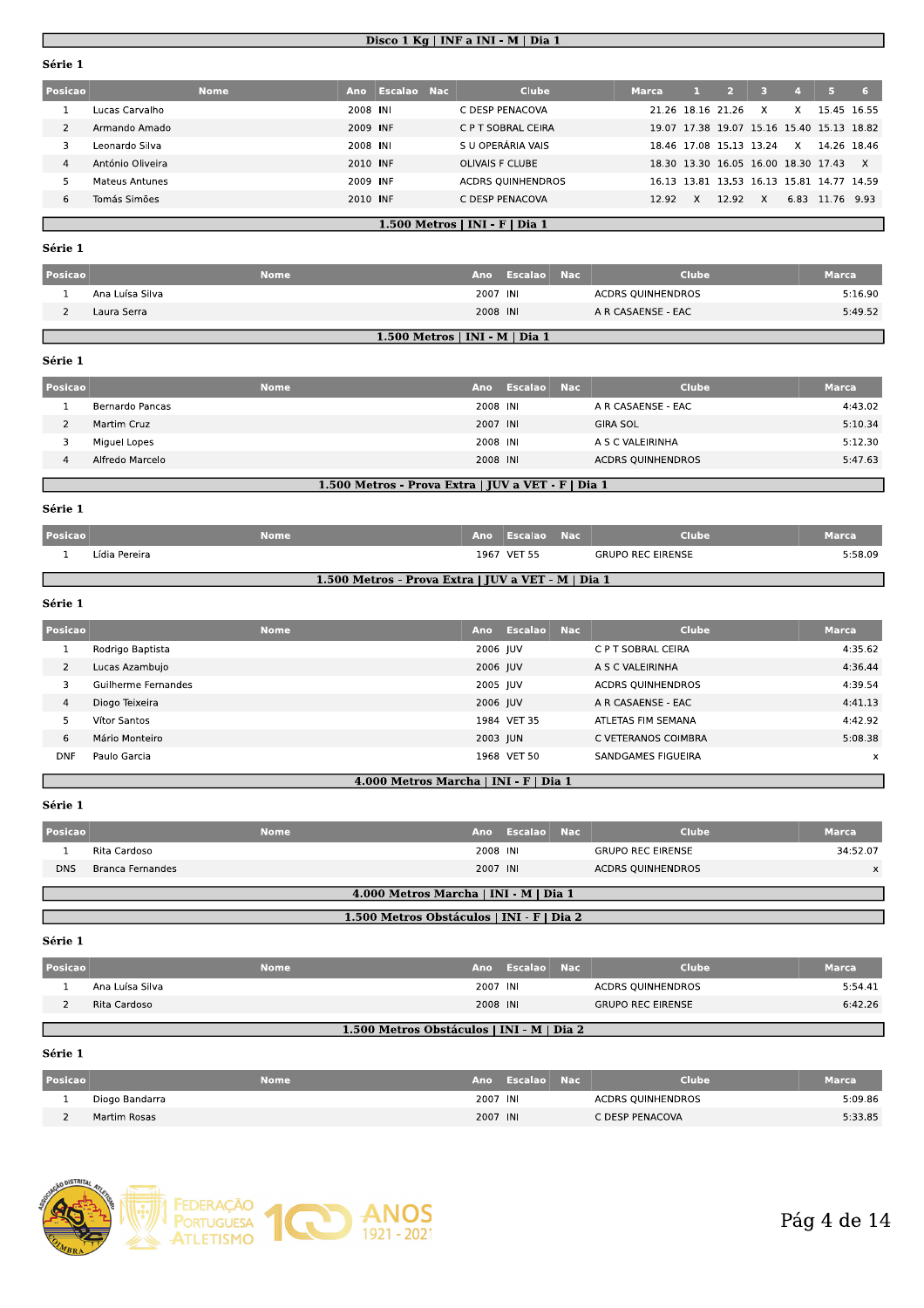#### Disco 1 Kg | INF a INI - M | Dia 1

| Posicao |                  | <b>Nome</b> | Ano      | <b>Escalao Nac</b> ا | <b>Clube</b>             | <b>Marca</b> |                   |                                     |              |      |                                           | 6.       |
|---------|------------------|-------------|----------|----------------------|--------------------------|--------------|-------------------|-------------------------------------|--------------|------|-------------------------------------------|----------|
|         | Lucas Carvalho   |             | 2008 INI |                      | C DESP PENACOVA          |              | 21.26 18.16 21.26 |                                     | x            | x    | 15.45 16.55                               |          |
|         | Armando Amado    |             | 2009 INF |                      | C P T SOBRAL CEIRA       |              |                   |                                     |              |      | 19.07 17.38 19.07 15.16 15.40 15.13 18.82 |          |
|         | Leonardo Silva   |             | 2008 INI |                      | S U OPERÁRIA VAIS        |              |                   | 18.46 17.08 15.13 13.24             |              | x    | 14.26 18.46                               |          |
| 4       | António Oliveira |             | 2010 INF |                      | <b>OLIVAIS F CLUBE</b>   |              |                   | 18.30 13.30 16.05 16.00 18.30 17.43 |              |      |                                           | $\times$ |
|         | Mateus Antunes   |             | 2009 INF |                      | <b>ACDRS OUINHENDROS</b> |              |                   |                                     |              |      | 16.13 13.81 13.53 16.13 15.81 14.77 14.59 |          |
| 6       | Tomás Simões     |             | 2010 INF |                      | C DESP PENACOVA          | 12.92        |                   | 12.92                               | $\mathsf{x}$ | 6.83 | 11.76 9.93                                |          |
|         |                  |             |          |                      |                          |              |                   |                                     |              |      |                                           |          |

### 1.500 Metros | INI - F | Dia 1

#### Série 1

| Posicao |                 | <b>Nome</b> |                                  | Ano Escalao Nac | <b>Clube</b>       | <b>Marca</b> |
|---------|-----------------|-------------|----------------------------------|-----------------|--------------------|--------------|
|         | Ana Luísa Silva |             | 2007 INI                         |                 | ACDRS QUINHENDROS  | 5:16.90      |
|         | Laura Serra     |             | 2008 INI                         |                 | A R CASAENSE - EAC | 5:49.52      |
|         |                 |             | $1.500$ Metros   INI - M   Dia 1 |                 |                    |              |

#### Série 1

| Posicao |                 | <b>Nome</b> | Ano                                                | Escalao Nac | <b>Clube</b>             | <b>Marca</b> |
|---------|-----------------|-------------|----------------------------------------------------|-------------|--------------------------|--------------|
|         | Bernardo Pancas |             | 2008 INI                                           |             | A R CASAENSE - EAC       | 4:43.02      |
|         | Martim Cruz     |             | 2007 INI                                           |             | <b>GIRA SOL</b>          | 5:10.34      |
|         | Miguel Lopes    |             | 2008 INI                                           |             | A S C VALEIRINHA         | 5:12.30      |
| 4       | Alfredo Marcelo |             | 2008 INI                                           |             | <b>ACDRS QUINHENDROS</b> | 5:47.63      |
|         |                 |             | 1.500 Metros - Prova Extra   JUV a VET - F   Dia 1 |             |                          |              |

#### Série 1

| <b>Posicao</b>                                     |               | Nome |  | Ano Escalao Nac' |  | Clube                    | <b>Marca</b> |  |
|----------------------------------------------------|---------------|------|--|------------------|--|--------------------------|--------------|--|
|                                                    | Lídia Pereira |      |  | 1967 VET 55      |  | <b>GRUPO REC EIRENSE</b> | 5:58.09      |  |
| 1.500 Metros - Prova Extra   JUV a VET - M   Dia 1 |               |      |  |                  |  |                          |              |  |

### Série 1

| Posicao        | <b>Nome</b>         | Ano      | Escalao Nac | Clube                    | <b>Marca</b> |
|----------------|---------------------|----------|-------------|--------------------------|--------------|
|                | Rodrigo Baptista    | 2006 IUV |             | C P T SOBRAL CEIRA       | 4:35.62      |
| $\overline{2}$ | Lucas Azambujo      | 2006 JUV |             | A S C VALEIRINHA         | 4:36.44      |
|                | Guilherme Fernandes | 2005 JUV |             | <b>ACDRS OUINHENDROS</b> | 4:39.54      |
| 4              | Diogo Teixeira      | 2006 JUV |             | A R CASAENSE - EAC       | 4:41.13      |
|                | Vítor Santos        |          | 1984 VET 35 | ATLETAS FIM SEMANA       | 4:42.92      |
| 6              | Mário Monteiro      | 2003 JUN |             | C VETERANOS COIMBRA      | 5:08.38      |
| <b>DNF</b>     | Paulo Garcia        |          | 1968 VET 50 | SANDGAMES FIGUEIRA       | $\mathsf{x}$ |

#### 4.000 Metros Marcha | INI - F | Dia 1

#### Série 1

| Posicao    |                                           | <b>Nome</b> | Ano      | <b>Escalao Nac</b> |  | <b>Clube</b>             | <b>Marca</b> |  |  |  |  |
|------------|-------------------------------------------|-------------|----------|--------------------|--|--------------------------|--------------|--|--|--|--|
|            | Rita Cardoso                              |             | 2008 INI |                    |  | <b>GRUPO REC EIRENSE</b> | 34:52.07     |  |  |  |  |
| <b>DNS</b> | <b>Branca Fernandes</b>                   |             | 2007 INI |                    |  | <b>ACDRS QUINHENDROS</b> | x            |  |  |  |  |
|            | 4.000 Metros Marcha   INI - M   Dia 1     |             |          |                    |  |                          |              |  |  |  |  |
|            | 1.500 Metros Obstáculos   INI - F   Dia 2 |             |          |                    |  |                          |              |  |  |  |  |

#### Série 1

| <b>Posicao</b> |                 | Nome |          | <b>Ano Escalao Nac</b> | <b>Clube</b>             | <b>Marca</b> |
|----------------|-----------------|------|----------|------------------------|--------------------------|--------------|
|                | Ana Luísa Silva |      | 2007 INI |                        | <b>ACDRS QUINHENDROS</b> | 5:54.41      |
|                | Rita Cardoso    |      | 2008 INI |                        | <b>GRUPO REC EIRENSE</b> | 6:42.26      |
|                |                 |      |          |                        |                          |              |

# 1.500 Metros Obstáculos | INI - M | Dia 2

| Posicao | <b>Nome</b>    |          | Ano Escalao | <b>Nac</b> | Clube             | <b>Marca</b> |
|---------|----------------|----------|-------------|------------|-------------------|--------------|
|         | Diogo Bandarra | 2007 INI |             |            | ACDRS OUINHENDROS | 5:09.86      |
|         | Martim Rosas   | 2007 INI |             |            | C DESP PENACOVA   | 5:33.85      |

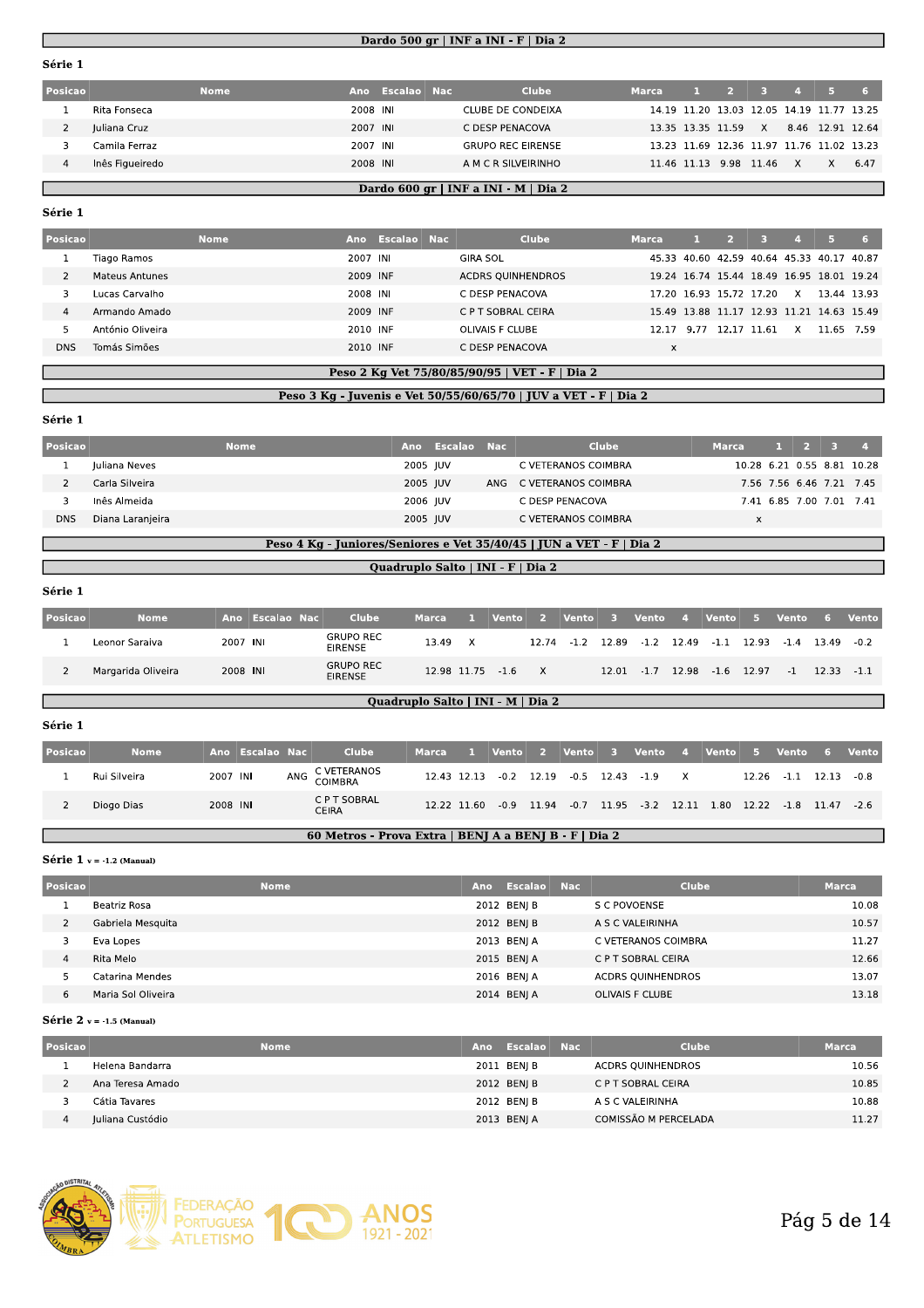### Dardo 500 gr | INF a INI - F | Dia 2

| Posicao |                 | Nome. | Ano      | Escalao Nac | <b>Clube</b>                         | <b>Marca</b> | -11 - | 2 3 4 5                |              |   |                                           | 767  |
|---------|-----------------|-------|----------|-------------|--------------------------------------|--------------|-------|------------------------|--------------|---|-------------------------------------------|------|
|         | Rita Fonseca    |       | 2008 INI |             | CLUBE DE CONDEIXA                    |              |       |                        |              |   | 14.19 11.20 13.03 12.05 14.19 11.77 13.25 |      |
|         | Juliana Cruz    |       | 2007 INI |             | C DESP PENACOVA                      |              |       | 13.35 13.35 11.59      | $\mathsf{X}$ |   | 8.46 12.91 12.64                          |      |
|         | Camila Ferraz   |       | 2007 INI |             | <b>GRUPO REC EIRENSE</b>             |              |       |                        |              |   | 13.23 11.69 12.36 11.97 11.76 11.02 13.23 |      |
|         | Inês Figueiredo |       | 2008 INI |             | A M C R SILVEIRINHO                  |              |       | 11.46 11.13 9.98 11.46 |              | X | $\times$                                  | 6.47 |
|         |                 |       |          |             |                                      |              |       |                        |              |   |                                           |      |
|         |                 |       |          |             | Dardo 600 gr   INF a INI - M   Dia 2 |              |       |                        |              |   |                                           |      |

#### Série 1

|  | Posicao    |                  | <b>Nome</b> | <b>Ano</b> | Escalao Nac | <b>Clube</b>             | <b>Marca</b> |       |                                           |       |   |             |     |
|--|------------|------------------|-------------|------------|-------------|--------------------------|--------------|-------|-------------------------------------------|-------|---|-------------|-----|
|  |            | Tiago Ramos      |             | 2007 INI   |             | <b>GIRA SOL</b>          |              |       | 45.33 40.60 42.59 40.64 45.33 40.17 40.87 |       |   |             |     |
|  |            | Mateus Antunes   |             | 2009 INF   |             | <b>ACDRS OUINHENDROS</b> |              |       | 19.24 16.74 15.44 18.49 16.95 18.01 19.24 |       |   |             |     |
|  |            | Lucas Carvalho   |             | 2008 INI   |             | C DESP PENACOVA          |              |       | 17.20 16.93 15.72 17.20                   |       | x | 13.44 13.93 |     |
|  |            | Armando Amado    |             | 2009 INF   |             | C P T SOBRAL CEIRA       |              |       | 15.49 13.88 11.17 12.93 11.21 14.63 15.49 |       |   |             |     |
|  |            | António Oliveira |             | 2010 INF   |             | OLIVAIS F CLUBE          | 12.17        | -9.77 | 12.17                                     | 11.61 | x | 11.65       | 759 |
|  | <b>DNS</b> | Tomás Simões     |             | 2010 INF   |             | C DESP PENACOVA          | X            |       |                                           |       |   |             |     |
|  |            |                  |             |            |             |                          |              |       |                                           |       |   |             |     |

# Peso 2 Kg Vet 75/80/85/90/95 | VET - F | Dia 2

#### Peso 3 Kg - Juvenis e Vet 50/55/60/65/70 | JUV a VET - F | Dia 2

Série 1

| Posicao |                  | <b>Nome</b> | Ano      | Escalao Nac | Clube                   | <b>Marca</b> |  | $1 \quad 2 \quad 3$      |                            |
|---------|------------------|-------------|----------|-------------|-------------------------|--------------|--|--------------------------|----------------------------|
|         | Juliana Neves    |             | 2005 JUV |             | C VETERANOS COIMBRA     |              |  |                          | 10.28 6.21 0.55 8.81 10.28 |
|         | Carla Silveira   |             | 2005 IUV |             | ANG C VETERANOS COIMBRA |              |  |                          | 7.56 7.56 6.46 7.21 7.45   |
|         | Inês Almeida     |             | 2006 JUV |             | C DESP PENACOVA         |              |  | 7.41 6.85 7.00 7.01 7.41 |                            |
| DNS     | Diana Laranjeira |             | 2005 JUV |             | C VETERANOS COIMBRA     | x            |  |                          |                            |
|         |                  |             |          |             |                         |              |  |                          |                            |

# Peso 4 Kg - Juniores/Seniores e Vet 35/40/45 | JUN a VET - F | Dia 2

#### Quadruplo Salto | INI - F | Dia 2

#### Série 1

| Posicao | <b>Nome</b>                       | Ano      | Escalao Nac |  | <b>Clube</b>                       | <b>Marca</b>     | - 1. .       | Vento | $\sim$ 25 $\sim$ | Vento | - 3 -         | <b>Vento</b> | $-4$ | <b>Vento</b>                           | - 5 | Vento 6 |               | <b>Vento</b> |
|---------|-----------------------------------|----------|-------------|--|------------------------------------|------------------|--------------|-------|------------------|-------|---------------|--------------|------|----------------------------------------|-----|---------|---------------|--------------|
|         | Leonor Saraiva                    | 2007 INI |             |  | <b>GRUPO REC</b><br><b>EIRENSE</b> | 13.49            | $\mathsf{x}$ |       | 12.74            |       |               |              |      | $-1.2$ 12.89 $-1.2$ 12.49 $-1.1$ 12.93 |     | $-1.4$  | 13.49         | $-0.2$       |
|         | Margarida Oliveira                | 2008 INI |             |  | <b>GRUPO REC</b><br><b>EIRENSE</b> | 12.98 11.75 -1.6 |              |       | $\mathsf{X}$     |       | $12.01 - 1.7$ |              |      | 12.98 -1.6 12.97                       |     | $-1$    | $12.33 - 1.1$ |              |
|         | Quadruplo Salto   INI - M   Dia 2 |          |             |  |                                    |                  |              |       |                  |       |               |              |      |                                        |     |         |               |              |

#### Série 1

| <b>Posicao</b> | <b>Nome</b>  |          | Ano Escalao Nac | <b>Clube</b>                 | <b>Marca</b> | <u>and the second property of the second property</u> |  | Vento 2 Vento 3                        |  |              |  | Vento 4 Vento 5 Vento 6 Vento                                           |      |
|----------------|--------------|----------|-----------------|------------------------------|--------------|-------------------------------------------------------|--|----------------------------------------|--|--------------|--|-------------------------------------------------------------------------|------|
|                | Rui Silveira | 2007 INI |                 | ANG C VETERANOS<br>COIMBRA   |              |                                                       |  | 12.43 12.13 -0.2 12.19 -0.5 12.43 -1.9 |  | $\mathsf{x}$ |  | 12.26 -1.1 12.13                                                        | -0.8 |
|                | Diogo Dias   | 2008 INI |                 | C P T SOBRAL<br><b>CEIRA</b> |              |                                                       |  |                                        |  |              |  | 12.22 11.60 -0.9 11.94 -0.7 11.95 -3.2 12.11 1.80 12.22 -1.8 11.47 -2.6 |      |

#### 60 Metros - Prova Extra | BENJ A a BENJ B - F | Dia 2

Série  $1 v = -1.2$  (Manual)

| Posicao |                    | <b>Nome</b> | Ano | Escalao Nac | <b>Clube</b>             | <b>Marca</b> |
|---------|--------------------|-------------|-----|-------------|--------------------------|--------------|
|         | Beatriz Rosa       |             |     | 2012 BENJ B | S C POVOENSE             | 10.08        |
| 2       | Gabriela Mesquita  |             |     | 2012 BENJ B | A S C VALEIRINHA         | 10.57        |
| 3       | Eva Lopes          |             |     | 2013 BENI A | C VETERANOS COIMBRA      | 11.27        |
| 4       | Rita Melo          |             |     | 2015 BENJ A | C P T SOBRAL CEIRA       | 12.66        |
|         | Catarina Mendes    |             |     | 2016 BENJA  | <b>ACDRS OUINHENDROS</b> | 13.07        |
| 6       | Maria Sol Oliveira |             |     | 2014 BENI A | <b>OLIVAIS F CLUBE</b>   | 13.18        |

#### Série  $2 v = -1.5$  (Manual)

| <b>Posicao</b> | Nome             | Ano | Escalao     | - Nac | Clube                    | <b>Marca</b> |
|----------------|------------------|-----|-------------|-------|--------------------------|--------------|
|                | Helena Bandarra  |     | 2011 BENJ B |       | <b>ACDRS OUINHENDROS</b> | 10.56        |
|                | Ana Teresa Amado |     | 2012 BENI B |       | C P T SOBRAL CEIRA       | 10.85        |
|                | Cátia Tavares    |     | 2012 BENJ B |       | A S C VALEIRINHA         | 10.88        |
|                | Iuliana Custódio |     | 2013 BENJ A |       | COMISSÃO M PERCELADA     | 11.27        |

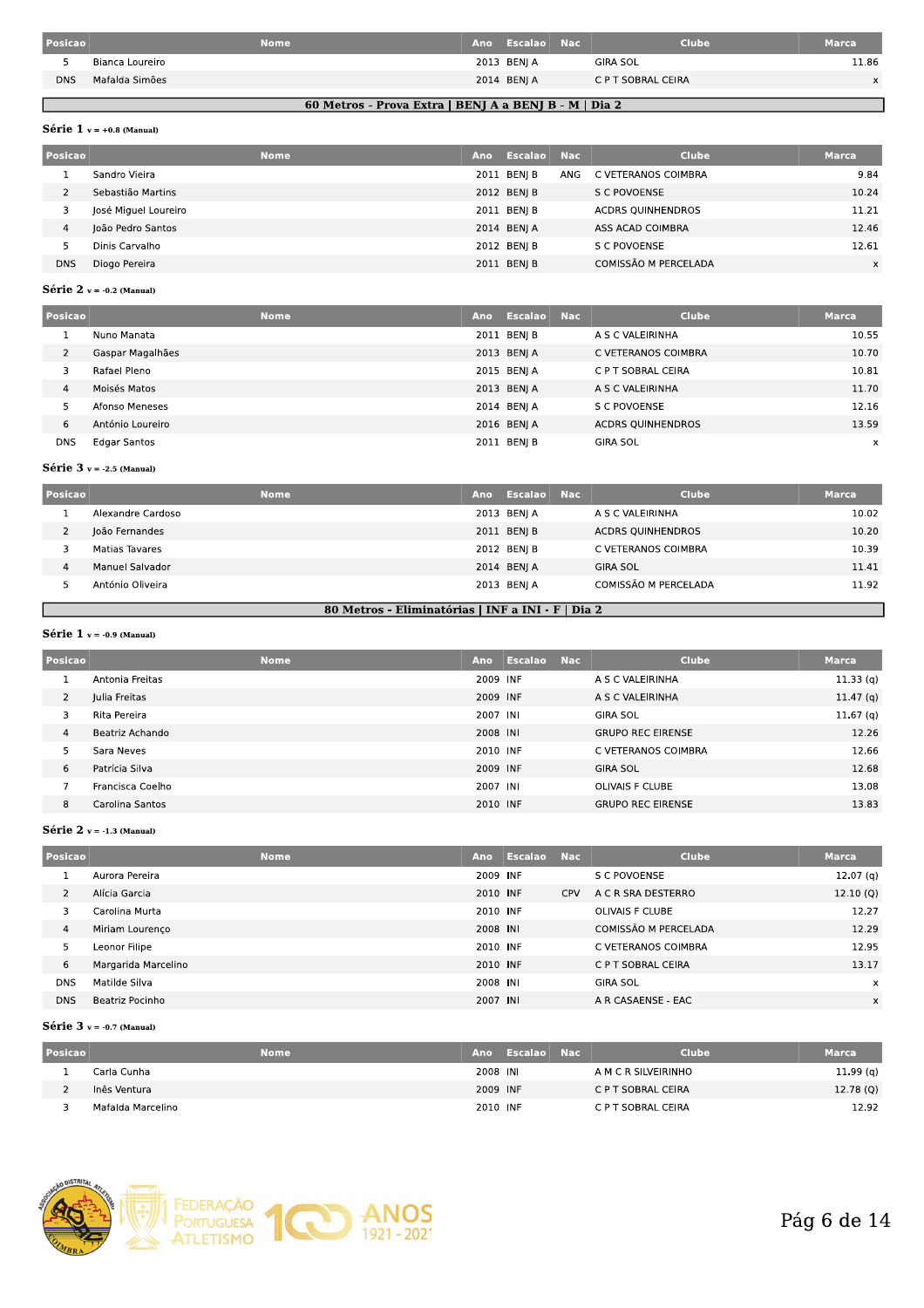| Posicao    |                 | <b>Nome</b> | Ano Escalao Nac | <b>Clube</b>       | Marca    |
|------------|-----------------|-------------|-----------------|--------------------|----------|
|            | Bianca Loureiro |             | 2013 BENI A     | <b>GIRA SOL</b>    | 11.86    |
| <b>DNS</b> | Mafalda Simões  |             | 2014 BENJ A     | C P T SOBRAL CEIRA | $\times$ |
|            |                 |             |                 |                    |          |

### 60 Metros - Prova Extra | BENJ A a BENJ B - M | Dia 2

### Série  $1 v = +0.8$  (Manual)

| Posicao    |                      | <b>Nome</b> | Ano | Escalao Nac |     | <b>Clube</b>             | <b>Marca</b> |
|------------|----------------------|-------------|-----|-------------|-----|--------------------------|--------------|
|            | Sandro Vieira        |             |     | 2011 BENI B | ANG | C VETERANOS COIMBRA      | 9.84         |
|            | Sebastião Martins    |             |     | 2012 BEN  B |     | S C POVOENSE             | 10.24        |
|            | José Miguel Loureiro |             |     | 2011 BEN  B |     | <b>ACDRS OUINHENDROS</b> | 11.21        |
| 4          | João Pedro Santos    |             |     | 2014 BENI A |     | ASS ACAD COIMBRA         | 12.46        |
|            | Dinis Carvalho       |             |     | 2012 BEN  B |     | S C POVOENSE             | 12.61        |
| <b>DNS</b> | Diogo Pereira        |             |     | 2011 BENJ B |     | COMISSÃO M PERCELADA     | $\times$     |

#### Série 2  $v = -0.2$  (Manual)

| Posicao    | <b>Nome</b>      | Ano | Escalao Nac | <b>Clube</b>             | <b>Marca</b>              |
|------------|------------------|-----|-------------|--------------------------|---------------------------|
|            | Nuno Manata      |     | 2011 BENJ B | A S C VALEIRINHA         | 10.55                     |
|            | Gaspar Magalhães |     | 2013 BENJ A | C VETERANOS COIMBRA      | 10.70                     |
|            | Rafael Pleno     |     | 2015 BENI A | C P T SOBRAL CEIRA       | 10.81                     |
| 4          | Moisés Matos     |     | 2013 BENJ A | A S C VALEIRINHA         | 11.70                     |
|            | Afonso Meneses   |     | 2014 BENJ A | S C POVOENSE             | 12.16                     |
| 6          | António Loureiro |     | 2016 BENJ A | <b>ACDRS QUINHENDROS</b> | 13.59                     |
| <b>DNS</b> | Edgar Santos     |     | 2011 BENJ B | <b>GIRA SOL</b>          | $\boldsymbol{\mathsf{x}}$ |

#### Série  $3$  v = -2.5 (Manual)

| Posicao |                   | <b>Nome</b><br>Ano | Escalao Nac | <b>Clube</b>             | <b>Marca</b> |
|---------|-------------------|--------------------|-------------|--------------------------|--------------|
|         | Alexandre Cardoso |                    | 2013 BENJ A | A S C VALEIRINHA         | 10.02        |
|         | João Fernandes    |                    | 2011 BEN  B | <b>ACDRS OUINHENDROS</b> | 10.20        |
|         | Matias Tavares    |                    | 2012 BENI B | C VETERANOS COIMBRA      | 10.39        |
| 4       | Manuel Salvador   |                    | 2014 BENJ A | <b>GIRA SOL</b>          | 11.41        |
|         | António Oliveira  |                    | 2013 BENJ A | COMISSÃO M PERCELADA     | 11.92        |

### 80 Metros - Eliminatórias | INF a INI - F | Dia 2

### Série 1  $v = -0.9$  (Manual)

Г

| Posicao        |                  | <b>Nome</b> | Ano      | Escalao | <b>Nac</b> | <b>Clube</b>             | <b>Marca</b>         |
|----------------|------------------|-------------|----------|---------|------------|--------------------------|----------------------|
|                | Antonia Freitas  |             | 2009 INF |         |            | A S C VALEIRINHA         | 11.33(q)             |
| $\overline{2}$ | Julia Freitas    |             | 2009 INF |         |            | A S C VALEIRINHA         | 11.47 $(q)$          |
|                | Rita Pereira     |             | 2007 INI |         |            | <b>GIRA SOL</b>          | 11.67 <sub>(q)</sub> |
| 4              | Beatriz Achando  |             | 2008 INI |         |            | <b>GRUPO REC EIRENSE</b> | 12.26                |
|                | Sara Neves       |             | 2010 INF |         |            | C VETERANOS COIMBRA      | 12.66                |
| 6              | Patrícia Silva   |             | 2009 INF |         |            | <b>GIRA SOL</b>          | 12.68                |
|                | Francisca Coelho |             | 2007 INI |         |            | <b>OLIVAIS F CLUBE</b>   | 13.08                |
| 8              | Carolina Santos  |             | 2010 INF |         |            | <b>GRUPO REC EIRENSE</b> | 13.83                |

#### Série  $2v = -1.3$  (Manual)

| <b>Posicao</b> |                     | <b>Nome</b> | <b>Ano</b> | Escalao | <b>Nac</b> | <b>Clube</b>         | <b>Marca</b>              |
|----------------|---------------------|-------------|------------|---------|------------|----------------------|---------------------------|
|                | Aurora Pereira      |             | 2009 INF   |         |            | S C POVOENSE         | 12.07 <sub>(q)</sub>      |
| 2              | Alícia Garcia       |             | 2010 INF   |         | <b>CPV</b> | A C R SRA DESTERRO   | 12.10(Q)                  |
| 3              | Carolina Murta      |             | 2010 INF   |         |            | OLIVAIS F CLUBE      | 12.27                     |
| 4              | Miriam Lourenco     |             | 2008 INI   |         |            | COMISSÃO M PERCELADA | 12.29                     |
| 5              | Leonor Filipe       |             | 2010 INF   |         |            | C VETERANOS COIMBRA  | 12.95                     |
| 6              | Margarida Marcelino |             | 2010 INF   |         |            | C P T SOBRAL CEIRA   | 13.17                     |
| <b>DNS</b>     | Matilde Silva       |             | 2008 INI   |         |            | <b>GIRA SOL</b>      | $\boldsymbol{\mathsf{x}}$ |
| <b>DNS</b>     | Beatriz Pocinho     |             | 2007 INI   |         |            | A R CASAENSE - EAC   | X                         |

#### Série  $3$  v = -0.7 (Manual)

| <b>Posicao</b> | <b>Nome</b>       |          | ' Ano Escalao Nac | <b>Clube</b>        | <b>Marca</b> |
|----------------|-------------------|----------|-------------------|---------------------|--------------|
|                | Carla Cunha       | 2008 INI |                   | A M C R SILVEIRINHO | 11.99(q)     |
|                | Inês Ventura      | 2009 INF |                   | C P T SOBRAL CEIRA  | 12.78(Q)     |
|                | Mafalda Marcelino | 2010 INF |                   | C P T SOBRAL CEIRA  | 12.92        |

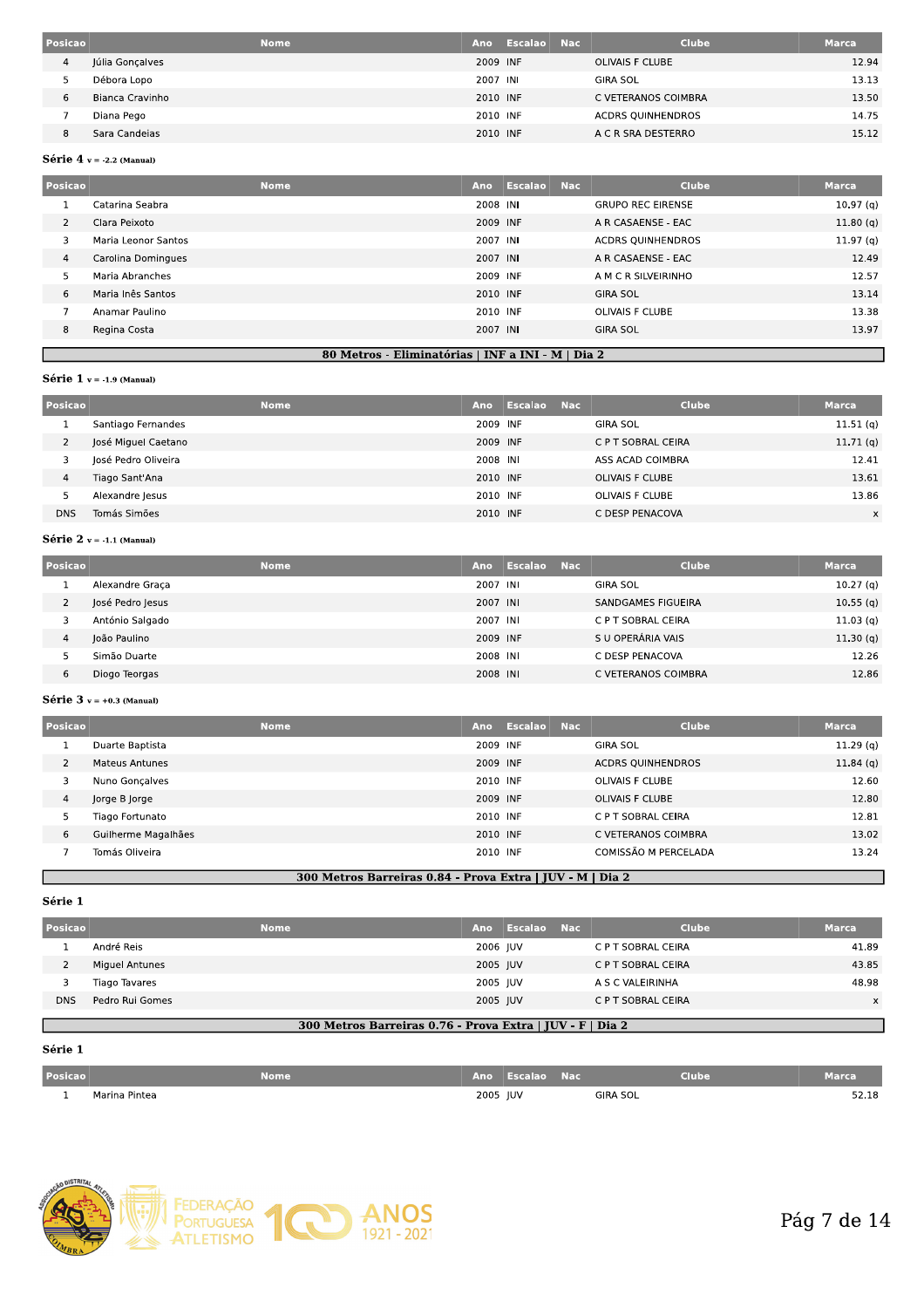| Posicao | <b>Nome</b>     | Ano      | Escalao | <b>Nac</b> | <b>Clube</b>             | <b>Marca</b> |
|---------|-----------------|----------|---------|------------|--------------------------|--------------|
| 4       | Júlia Gonçalves | 2009 INF |         |            | OLIVAIS F CLUBE          | 12.94        |
|         | Débora Lopo     | 2007 INI |         |            | <b>GIRA SOL</b>          | 13.13        |
| 6       | Bianca Cravinho | 2010 INF |         |            | C VETERANOS COIMBRA      | 13.50        |
|         | Diana Pego      | 2010 INF |         |            | <b>ACDRS OUINHENDROS</b> | 14.75        |
|         | Sara Candeias   | 2010 INF |         |            | A C R SRA DESTERRO       | 15.12        |

#### Série 4  $v = -2.2$  (Manual)

| Posicao | <b>Nome</b>         | Ano      | Escalao | <b>Nac</b> | Clube                    | <b>Marca</b>         |
|---------|---------------------|----------|---------|------------|--------------------------|----------------------|
|         | Catarina Seabra     | 2008 INI |         |            | <b>GRUPO REC EIRENSE</b> | 10.97 <sub>(q)</sub> |
| 2       | Clara Peixoto       | 2009 INF |         |            | A R CASAENSE - EAC       | 11.80(q)             |
| 3       | Maria Leonor Santos | 2007 INI |         |            | <b>ACDRS OUINHENDROS</b> | 11.97 <sub>(q)</sub> |
| 4       | Carolina Domingues  | 2007 INI |         |            | A R CASAENSE - EAC       | 12.49                |
| 5       | Maria Abranches     | 2009 INF |         |            | A M C R SILVEIRINHO      | 12.57                |
| 6       | Maria Inês Santos   | 2010 INF |         |            | <b>GIRA SOL</b>          | 13.14                |
| э,      | Anamar Paulino      | 2010 INF |         |            | <b>OLIVAIS F CLUBE</b>   | 13.38                |
| 8       | Regina Costa        | 2007 INI |         |            | <b>GIRA SOL</b>          | 13.97                |
|         |                     |          |         |            |                          |                      |

### 80 Metros - Eliminatórias | INF a INI - M | Dia 2

#### Série  $1$  v = -1.9 (Manual)

н

| Posicao                     | <b>Nome</b>         | Ano      | Escalao<br><b>Nac</b> |  | <b>Clube</b>           | <b>Marca</b> |
|-----------------------------|---------------------|----------|-----------------------|--|------------------------|--------------|
| л.                          | Santiago Fernandes  | 2009 INF |                       |  | <b>GIRA SOL</b>        | 11.51(q)     |
| $\mathcal{D}$<br>$\epsilon$ | José Miguel Caetano | 2009 INF |                       |  | C P T SOBRAL CEIRA     | 11.71(q)     |
| 3                           | losé Pedro Oliveira | 2008 INI |                       |  | ASS ACAD COIMBRA       | 12.41        |
| 4                           | Tiago Sant'Ana      | 2010 INF |                       |  | <b>OLIVAIS F CLUBE</b> | 13.61        |
| 5                           | Alexandre Jesus     | 2010 INF |                       |  | OLIVAIS F CLUBE        | 13.86        |
| <b>DNS</b>                  | Tomás Simões        | 2010 INF |                       |  | C DESP PENACOVA        | x            |

# Série 2  $v = -1.1$  (Manual)

| Posicao | <b>Nome</b>      | Ano      | Escalao | <b>Nac</b> | <b>Clube</b>        | <b>Marca</b> |
|---------|------------------|----------|---------|------------|---------------------|--------------|
|         | Alexandre Graça  | 2007 INI |         |            | <b>GIRA SOL</b>     | 10.27(q)     |
|         | José Pedro Jesus | 2007 INI |         |            | SANDGAMES FIGUEIRA  | 10.55(q)     |
|         | António Salgado  | 2007 INI |         |            | C P T SOBRAL CEIRA  | 11.03(q)     |
| 4       | João Paulino     | 2009 INF |         |            | S U OPERÁRIA VAIS   | 11.30(q)     |
|         | Simão Duarte     | 2008 INI |         |            | C DESP PENACOVA     | 12.26        |
| 6       | Diogo Teorgas    | 2008 INI |         |            | C VETERANOS COIMBRA | 12.86        |

#### Série 3  $v = +0.3$  (Manual)

| Posicao        | <b>Nome</b>         | Ano      | Escalao | <b>Nac</b> | <b>Clube</b>             | <b>Marca</b> |
|----------------|---------------------|----------|---------|------------|--------------------------|--------------|
|                | Duarte Baptista     | 2009 INF |         |            | <b>GIRA SOL</b>          | 11.29(q)     |
| $\overline{2}$ | Mateus Antunes      | 2009 INF |         |            | <b>ACDRS QUINHENDROS</b> | 11.84(q)     |
|                | Nuno Gonçalves      | 2010 INF |         |            | OLIVAIS F CLUBE          | 12.60        |
| 4              | Jorge B Jorge       | 2009 INF |         |            | <b>OLIVAIS F CLUBE</b>   | 12.80        |
| 5              | Tiago Fortunato     | 2010 INF |         |            | C P T SOBRAL CEIRA       | 12.81        |
| 6              | Guilherme Magalhães | 2010 INF |         |            | C VETERANOS COIMBRA      | 13.02        |
|                | Tomás Oliveira      | 2010 INF |         |            | COMISSÃO M PERCELADA     | 13.24        |

### 300 Metros Barreiras 0.84 - Prova Extra | JUV - M | Dia 2

#### Série 1

| Posicao    | <b>Nome</b>     | Ano      | Escalao | - Nac | <b>Clube</b>       | <b>Marca</b> |
|------------|-----------------|----------|---------|-------|--------------------|--------------|
|            | André Reis      | 2006 IUV |         |       | C P T SOBRAL CEIRA | 41.89        |
|            | Miguel Antunes  | 2005 JUV |         |       | C P T SOBRAL CEIRA | 43.85        |
|            | Tiago Tavares   | 2005 JUV |         |       | A S C VALEIRINHA   | 48.98        |
| <b>DNS</b> | Pedro Rui Gomes | 2005 JUV |         |       | C P T SOBRAL CEIRA | $\times$     |
|            |                 |          |         |       |                    |              |

# 300 Metros Barreiras 0.76 - Prova Extra | JUV - F | Dia 2

# Série 1

Г

| <b>Posicao</b> |                                                     | <b>Nome</b> |          | Ano Escalao | <b>Nac</b> | <b>Clube</b> | Marca |
|----------------|-----------------------------------------------------|-------------|----------|-------------|------------|--------------|-------|
|                | Marina Pintea<br>$\sim$ $\sim$ $\sim$ $\sim$ $\sim$ |             | 2005 JUV |             |            | GIRA SOL     | 52.18 |

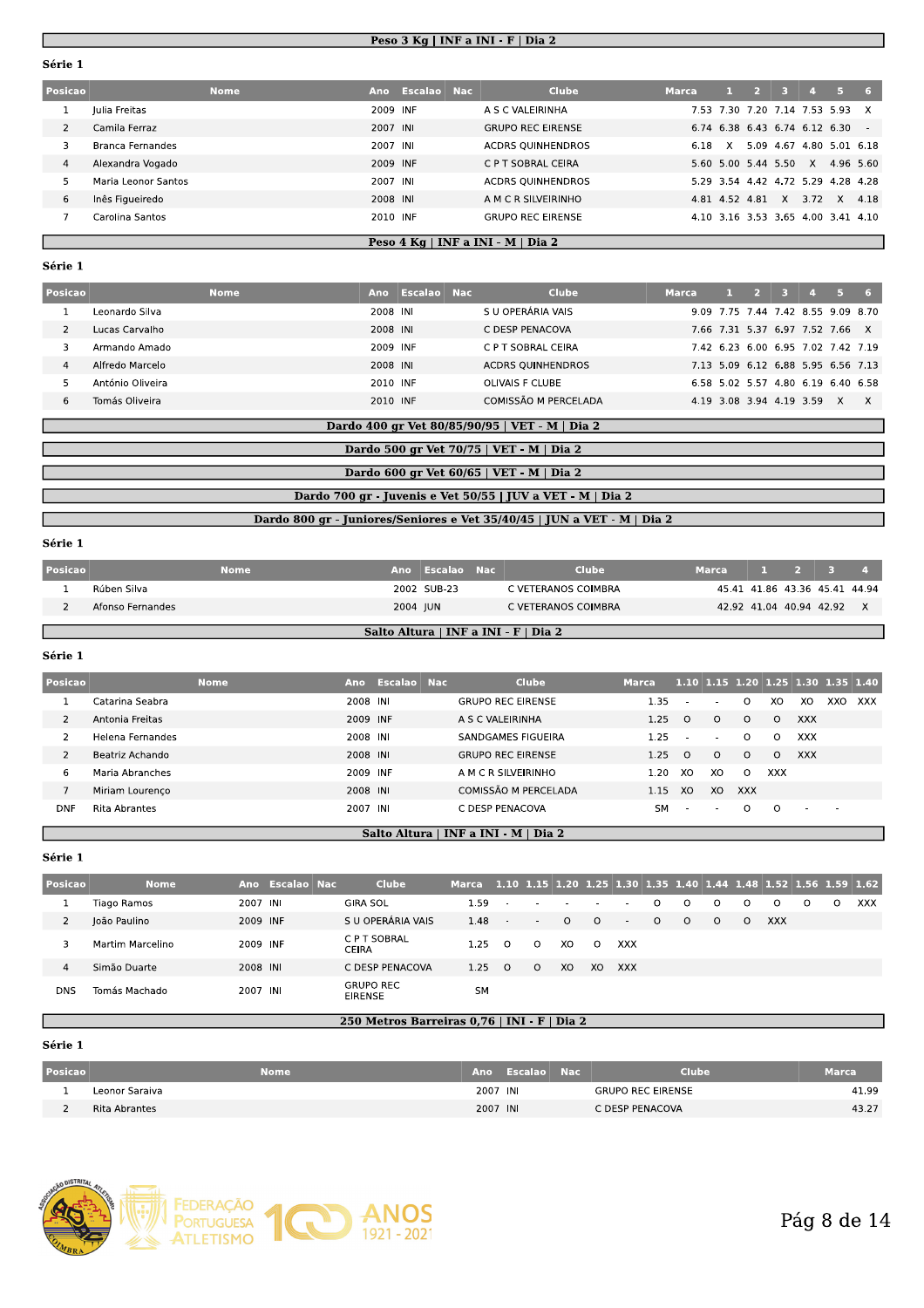#### <u> Peso 3 Kg | INF a INI - F | Dia 2 | </u>

|                |                     |             |          |                 | Peso $3$ Kg   INF a INI - F   Dia $2$ |              |              |                |    |                |                                    |               |
|----------------|---------------------|-------------|----------|-----------------|---------------------------------------|--------------|--------------|----------------|----|----------------|------------------------------------|---------------|
| Série 1        |                     |             |          |                 |                                       |              |              |                |    |                |                                    |               |
| Posicao        |                     | <b>Nome</b> |          | Ano Escalao Nac | <b>Clube</b>                          | <b>Marca</b> | -and         | $\overline{2}$ | 3. | $\overline{A}$ | 5.                                 | -6            |
|                | Julia Freitas       |             | 2009 INF |                 | A S C VALEIRINHA                      |              |              |                |    |                | 7.53 7.30 7.20 7.14 7.53 5.93      | X             |
| $\overline{2}$ | Camila Ferraz       |             | 2007 INI |                 | <b>GRUPO REC EIRENSE</b>              |              |              |                |    |                | 6.74 6.38 6.43 6.74 6.12 6.30      | $\sim$ $\sim$ |
| 3              | Branca Fernandes    |             | 2007 INI |                 | <b>ACDRS OUINHENDROS</b>              | 6.18         | $\mathsf{X}$ |                |    |                | 5.09 4.67 4.80 5.01 6.18           |               |
| 4              | Alexandra Vogado    |             | 2009 INF |                 | C P T SOBRAL CEIRA                    |              |              |                |    |                | 5.60 5.00 5.44 5.50 X 4.96 5.60    |               |
| 5              | Maria Leonor Santos |             | 2007 INI |                 | <b>ACDRS QUINHENDROS</b>              |              |              |                |    |                | 5.29 3.54 4.42 4.72 5.29 4.28 4.28 |               |
| 6              | Inês Figueiredo     |             | 2008 INI |                 | A M C R SILVEIRINHO                   |              |              | 4.81 4.52 4.81 | X  | 3.72           | $\mathsf{X}$                       | 4.18          |
|                | Carolina Santos     |             | 2010 INF |                 | <b>GRUPO REC EIRENSE</b>              |              |              |                |    |                | 4.10 3.16 3.53 3.65 4.00 3.41 4.10 |               |

#### <u>Peso 4 Kg | INF a INI - M | Dia 2 |</u>

| $\overline{7}$ | Carolina Santos  |             | 2010 INF |                                   | <b>GRUPO REC EIRENSE</b>                                   |              |       |                | 4.10 3.16 3.53 3.65 4.00 3.41 4.10 |        |   |      |
|----------------|------------------|-------------|----------|-----------------------------------|------------------------------------------------------------|--------------|-------|----------------|------------------------------------|--------|---|------|
|                |                  |             |          |                                   | Peso 4 Kg   INF a INI - M   Dia 2                          |              |       |                |                                    |        |   |      |
| Série 1        |                  |             |          |                                   |                                                            |              |       |                |                                    |        |   |      |
| Posicao        |                  | <b>Nome</b> |          | Ano Escalao Nac                   | <b>Clube</b>                                               | <b>Marca</b> | $1 -$ | 2 <sup>2</sup> | $3 -$                              | $\sim$ | 5 | $-6$ |
| 1              | Leonardo Silva   |             | 2008 INI |                                   | S U OPERÁRIA VAIS                                          |              |       |                | 9.09 7.75 7.44 7.42 8.55 9.09 8.70 |        |   |      |
| $\overline{2}$ | Lucas Carvalho   |             | 2008 INI |                                   | C DESP PENACOVA                                            |              |       |                | 7.66 7.31 5.37 6.97 7.52 7.66 X    |        |   |      |
| 3              | Armando Amado    |             | 2009 INF |                                   | C P T SOBRAL CEIRA                                         |              |       |                | 7.42 6.23 6.00 6.95 7.02 7.42 7.19 |        |   |      |
| 4              | Alfredo Marcelo  |             | 2008 INI |                                   | <b>ACDRS QUINHENDROS</b>                                   |              |       |                | 7.13 5.09 6.12 6.88 5.95 6.56 7.13 |        |   |      |
| 5              | António Oliveira |             | 2010 INF |                                   | OLIVAIS F CLUBE                                            |              |       |                | 6.58 5.02 5.57 4.80 6.19 6.40 6.58 |        |   |      |
| 6              | Tomás Oliveira   |             | 2010 INF |                                   | COMISSÃO M PERCELADA                                       |              |       |                | 4.19 3.08 3.94 4.19 3.59 X X       |        |   |      |
|                |                  |             |          |                                   | Dardo 400 gr Vet 80/85/90/95   VET - M   Dia 2             |              |       |                |                                    |        |   |      |
|                |                  |             |          |                                   |                                                            |              |       |                |                                    |        |   |      |
|                |                  |             |          |                                   | Dardo 500 gr Vet 70/75   VET - M   Dia 2                   |              |       |                |                                    |        |   |      |
|                |                  |             |          |                                   | Dardo 600 gr Vet 60/65   VET - M   Dia 2                   |              |       |                |                                    |        |   |      |
|                |                  |             |          |                                   |                                                            |              |       |                |                                    |        |   |      |
|                |                  |             |          |                                   | Dardo 700 gr - Juvenis e Vet 50/55   JUV a VET - M   Dia 2 |              |       |                |                                    |        |   |      |
|                |                  |             | _ _ _ _  | and the state of the state of the |                                                            |              |       |                |                                    |        |   |      |

|         | Dardo 700 gr - Juvenis e Vet 50/55   JUV a VET - M   Dia 2              |             |  |                 |  |                     |       |  |             |                               |                |  |  |
|---------|-------------------------------------------------------------------------|-------------|--|-----------------|--|---------------------|-------|--|-------------|-------------------------------|----------------|--|--|
|         | Dardo 800 gr - Juniores/Seniores e Vet 35/40/45   JUN a VET - M   Dia 2 |             |  |                 |  |                     |       |  |             |                               |                |  |  |
| Série 1 |                                                                         |             |  |                 |  |                     |       |  |             |                               |                |  |  |
| Posicao |                                                                         | <b>Nome</b> |  | Ano Escalao Nac |  | <b>Clube</b>        | Marca |  | $1 \quad 2$ | - 3                           | $\overline{a}$ |  |  |
|         | Rúben Silva                                                             |             |  | 2002 SUB-23     |  | C VETERANOS COIMBRA |       |  |             | 45.41 41.86 43.36 45.41 44.94 |                |  |  |
|         | Afonso Fernandes                                                        |             |  | 2004 JUN        |  | C VETERANOS COIMBRA |       |  |             | 42.92 41.04 40.94 42.92 X     |                |  |  |
|         | Salto Altura   INF a INI - F   Dia 2                                    |             |  |                 |  |                     |       |  |             |                               |                |  |  |
| Série 1 |                                                                         |             |  |                 |  |                     |       |  |             |                               |                |  |  |

| $\overline{2}$ | Afonso Fernandes |             |          | 2004 JUN        | C VETERANOS COIMBRA                  |           |                          |                          | 42.92 41.04 40.94 42.92 |            |            |                                    | $\times$   |
|----------------|------------------|-------------|----------|-----------------|--------------------------------------|-----------|--------------------------|--------------------------|-------------------------|------------|------------|------------------------------------|------------|
|                |                  |             |          |                 | Salto Altura   INF a INI - F   Dia 2 |           |                          |                          |                         |            |            |                                    |            |
| Série 1        |                  |             |          |                 |                                      |           |                          |                          |                         |            |            |                                    |            |
| Posicao        |                  | <b>Nome</b> |          | Ano Escalao Nac | <b>Clube</b>                         | Marca     |                          |                          |                         |            |            | 1.10 1.15 1.20 1.25 1.30 1.35 1.40 |            |
|                | Catarina Seabra  |             | 2008 INI |                 | <b>GRUPO REC EIRENSE</b>             | 1.35      |                          |                          | $\Omega$                | XO         | XO         | XXO                                | <b>XXX</b> |
| $\mathcal{P}$  | Antonia Freitas  |             | 2009 INF |                 | A S C VALEIRINHA                     | 1.25      | $\Omega$                 | $\circ$                  | $\circ$                 | $\Omega$   | <b>XXX</b> |                                    |            |
| $\mathcal{P}$  | Helena Fernandes |             | 2008 INI |                 | SANDGAMES FIGUEIRA                   | 1.25      | $\sim$                   | $\overline{\phantom{a}}$ | $\Omega$                | $\circ$    | <b>XXX</b> |                                    |            |
| $\overline{2}$ | Beatriz Achando  |             | 2008 INI |                 | <b>GRUPO REC EIRENSE</b>             | 1.25      | $\Omega$                 | $\Omega$                 | $\Omega$                | $\Omega$   | <b>XXX</b> |                                    |            |
| 6              | Maria Abranches  |             | 2009 INF |                 | A M C R SILVEIRINHO                  | 1.20      | XO                       | XO                       | $\Omega$                | <b>XXX</b> |            |                                    |            |
| $\overline{7}$ | Miriam Lourenço  |             | 2008 INI |                 | COMISSÃO M PERCELADA                 | 1.15      | XO                       | XO                       | <b>XXX</b>              |            |            |                                    |            |
| <b>DNF</b>     | Rita Abrantes    |             | 2007 INI |                 | C DESP PENACOVA                      | <b>SM</b> | $\overline{\phantom{a}}$ |                          | $\Omega$                | $\Omega$   |            |                                    |            |

#### $\frac{1}{2}$  Saito Altura | INF a INI - M | Dia 2

| <b>DNF</b>     | Rita Abrantes    |          |                 | 2007 INI                             | C DESP PENACOVA                                                        |          |                          |          |          |                          | <b>SM</b> | $\sim$  | $\overline{\phantom{a}}$ | $\Omega$ | $\circ$    | $\overline{a}$ | $\sim$  |     |
|----------------|------------------|----------|-----------------|--------------------------------------|------------------------------------------------------------------------|----------|--------------------------|----------|----------|--------------------------|-----------|---------|--------------------------|----------|------------|----------------|---------|-----|
|                |                  |          |                 | Salto Altura   INF a INI - M   Dia 2 |                                                                        |          |                          |          |          |                          |           |         |                          |          |            |                |         |     |
| Série 1        |                  |          |                 |                                      |                                                                        |          |                          |          |          |                          |           |         |                          |          |            |                |         |     |
| Posicao        | <b>Nome</b>      |          | Ano Escalao Nac | Clube                                | Marca 1.10 1.15 1.20 1.25 1.30 1.35 1.40 1.44 1.48 1.52 1.56 1.59 1.62 |          |                          |          |          |                          |           |         |                          |          |            |                |         |     |
|                | Tiago Ramos      | 2007 INI |                 | <b>GIRA SOL</b>                      | 1.59                                                                   |          |                          |          | $\sim$   | $\overline{\phantom{a}}$ | $\Omega$  | $\circ$ | $\circ$                  | $\circ$  | $\circ$    | $\Omega$       | $\circ$ | XXX |
| $\overline{2}$ | João Paulino     | 2009 INF |                 | S U OPERÁRIA VAIS                    | 1.48                                                                   | $\sim$   | $\overline{\phantom{a}}$ | $\Omega$ | $\Omega$ | $\sim$                   | $\Omega$  | $\circ$ | $\circ$                  | $\circ$  | <b>XXX</b> |                |         |     |
| 3              | Martim Marcelino | 2009 INF |                 | C P T SOBRAL<br><b>CEIRA</b>         | 1.25                                                                   | $\Omega$ | $\circ$                  | XO.      | $\Omega$ | <b>XXX</b>               |           |         |                          |          |            |                |         |     |
| $\overline{4}$ | Simão Duarte     | 2008 INI |                 | C DESP PENACOVA                      | 1.25                                                                   | $\Omega$ | $\Omega$                 | XO.      | XO       | XXX                      |           |         |                          |          |            |                |         |     |
| <b>DNS</b>     | Tomás Machado    | 2007 INI |                 | <b>GRUPO REC</b><br><b>EIRENSE</b>   | <b>SM</b>                                                              |          |                          |          |          |                          |           |         |                          |          |            |                |         |     |

#### 250 Metros Barreiras 0,76 | INI - F | Dia 2

| <b>DNS</b>     | Tomás Machado  | 2007 INI    | <b>GRUPO REC</b><br><b>EIRENSE</b>          | <b>SM</b> |                 |                          |              |
|----------------|----------------|-------------|---------------------------------------------|-----------|-----------------|--------------------------|--------------|
|                |                |             | 250 Metros Barreiras 0,76   INI - F   Dia 2 |           |                 |                          |              |
| Série 1        |                |             |                                             |           |                 |                          |              |
| Posicao        |                | <b>Nome</b> |                                             |           | Ano Escalao Nac | Clube                    | <b>Marca</b> |
|                | Leonor Saraiva |             |                                             | 2007 INI  |                 | <b>GRUPO REC EIRENSE</b> | 41.99        |
| $\overline{2}$ | Rita Abrantes  |             |                                             | 2007 INI  |                 | C DESP PENACOVA          | 43.27        |
|                |                |             |                                             |           |                 |                          |              |
|                |                |             |                                             |           |                 |                          |              |
|                |                |             |                                             |           |                 |                          |              |

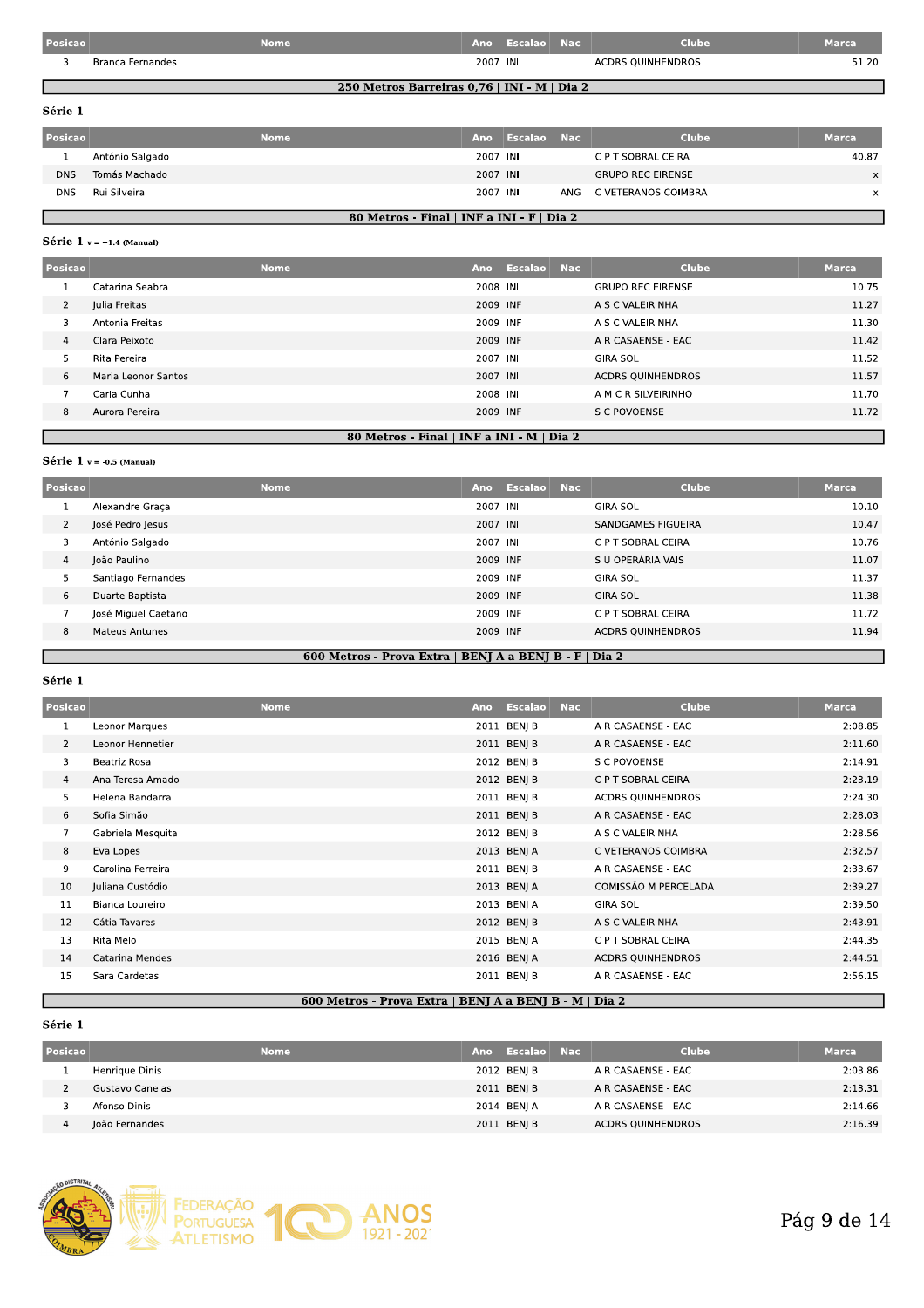| Posicao |                  | Nome |          | Ano Escalao | <b>Nac</b> | Clube                    | Marca |
|---------|------------------|------|----------|-------------|------------|--------------------------|-------|
|         | Branca Fernandes |      | 2007 INI |             |            | <b>ACDRS QUINHENDROS</b> | 51.20 |

### 250 Metros Barreiras 0,76 | INI - M | Dia 2

Série 1

| Posicao    |                 | <b>Nome</b> | Ano      | Escalao Nac | <b>Clube</b>             | Marca    |
|------------|-----------------|-------------|----------|-------------|--------------------------|----------|
|            | António Salgado |             | 2007 INI |             | C P T SOBRAL CEIRA       | 40.87    |
| <b>DNS</b> | Tomás Machado   |             | 2007 INI |             | <b>GRUPO REC EIRENSE</b> | $\times$ |
| <b>DNS</b> | Rui Silveira    |             | 2007 INI |             | ANG C VETERANOS COIMBRA  |          |

# 80 Metros - Final | INF a INI - F | Dia 2

# Série  $1$  v = +1.4 (Manual)

| Posicao        |                     | <b>Nome</b> | Ano      | Escalao Nac | Clube                    | <b>Marca</b> |
|----------------|---------------------|-------------|----------|-------------|--------------------------|--------------|
|                | Catarina Seabra     |             | 2008 INI |             | <b>GRUPO REC EIRENSE</b> | 10.75        |
| $\overline{2}$ | Julia Freitas       |             | 2009 INF |             | A S C VALEIRINHA         | 11.27        |
| 3              | Antonia Freitas     |             | 2009 INF |             | A S C VALEIRINHA         | 11.30        |
| 4              | Clara Peixoto       |             | 2009 INF |             | A R CASAENSE - EAC       | 11.42        |
|                | Rita Pereira        |             | 2007 INI |             | <b>GIRA SOL</b>          | 11.52        |
| 6              | Maria Leonor Santos |             | 2007 INI |             | <b>ACDRS QUINHENDROS</b> | 11.57        |
|                | Carla Cunha         |             | 2008 INI |             | A M C R SILVEIRINHO      | 11.70        |
| 8              | Aurora Pereira      |             | 2009 INF |             | S C POVOENSE             | 11.72        |
|                |                     |             |          |             |                          |              |

### 80 Metros - Final | INF a INI - M | Dia 2

#### Série 1  $v = -0.5$  (Manual)

| Posicao        | <b>Nome</b>           | Ano      | Escalao | <b>Nac</b> | Clube                    | <b>Marca</b> |
|----------------|-----------------------|----------|---------|------------|--------------------------|--------------|
|                | Alexandre Graça       | 2007 INI |         |            | <b>GIRA SOL</b>          | 10.10        |
| $\overline{2}$ | José Pedro Jesus      | 2007 INI |         |            | SANDGAMES FIGUEIRA       | 10.47        |
| 3              | António Salgado       | 2007 INI |         |            | C P T SOBRAL CEIRA       | 10.76        |
| $\overline{4}$ | João Paulino          | 2009 INF |         |            | S U OPERÁRIA VAIS        | 11.07        |
|                | Santiago Fernandes    | 2009 INF |         |            | <b>GIRA SOL</b>          | 11.37        |
| 6              | Duarte Baptista       | 2009 INF |         |            | <b>GIRA SOL</b>          | 11.38        |
|                | José Miguel Caetano   | 2009 INF |         |            | C P T SOBRAL CEIRA       | 11.72        |
| 8              | <b>Mateus Antunes</b> | 2009 INF |         |            | <b>ACDRS QUINHENDROS</b> | 11.94        |
|                |                       |          |         |            |                          |              |

# 600 Metros - Prova Extra | BENJ A a BENJ B - F | Dia 2

Série 1

н

| Posicao        |                   | <b>Nome</b> | <b>Ano</b> | Escalao     | <b>Nac</b> | <b>Clube</b>             | <b>Marca</b> |
|----------------|-------------------|-------------|------------|-------------|------------|--------------------------|--------------|
| 1              | Leonor Marques    |             |            | 2011 BENI B |            | A R CASAENSE - EAC       | 2:08.85      |
| 2              | Leonor Hennetier  |             |            | 2011 BENJ B |            | A R CASAENSE - EAC       | 2:11.60      |
| 3              | Beatriz Rosa      |             |            | 2012 BENJ B |            | S C POVOENSE             | 2:14.91      |
| $\overline{4}$ | Ana Teresa Amado  |             |            | 2012 BENI B |            | C P T SOBRAL CEIRA       | 2:23.19      |
| 5              | Helena Bandarra   |             |            | 2011 BENJ B |            | <b>ACDRS QUINHENDROS</b> | 2:24.30      |
| 6              | Sofia Simão       |             |            | 2011 BENJ B |            | A R CASAENSE - EAC       | 2:28.03      |
| $\overline{7}$ | Gabriela Mesquita |             |            | 2012 BENJ B |            | A S C VALEIRINHA         | 2:28.56      |
| 8              | Eva Lopes         |             |            | 2013 BENJ A |            | C VETERANOS COIMBRA      | 2:32.57      |
| 9              | Carolina Ferreira |             |            | 2011 BENJ B |            | A R CASAENSE - EAC       | 2:33.67      |
| 10             | Juliana Custódio  |             |            | 2013 BENJ A |            | COMISSÃO M PERCELADA     | 2:39.27      |
| 11             | Bianca Loureiro   |             |            | 2013 BENJ A |            | <b>GIRA SOL</b>          | 2:39.50      |
| 12             | Cátia Tavares     |             |            | 2012 BENJ B |            | A S C VALEIRINHA         | 2:43.91      |
| 13             | Rita Melo         |             |            | 2015 BENJ A |            | C P T SOBRAL CEIRA       | 2:44.35      |
| 14             | Catarina Mendes   |             |            | 2016 BENJ A |            | <b>ACDRS QUINHENDROS</b> | 2:44.51      |
| 15             | Sara Cardetas     |             |            | 2011 BENJ B |            | A R CASAENSE - EAC       | 2:56.15      |

### 600 Metros - Prova Extra | BENJ A a BENJ B - M | Dia 2

| Posicao |                 | <b>Nome</b> | Ano | Escalao     | - Nac | <b>Clube</b>             | <b>Marca</b> |
|---------|-----------------|-------------|-----|-------------|-------|--------------------------|--------------|
|         | Henrique Dinis  |             |     | 2012 BENJ B |       | A R CASAENSE - EAC       | 2:03.86      |
|         | Gustavo Canelas |             |     | 2011 BENJ B |       | A R CASAENSE - EAC       | 2:13.31      |
|         | Afonso Dinis    |             |     | 2014 BENJ A |       | A R CASAENSE - EAC       | 2:14.66      |
|         | loão Fernandes  |             |     | 2011 BENJ B |       | <b>ACDRS QUINHENDROS</b> | 2:16.39      |

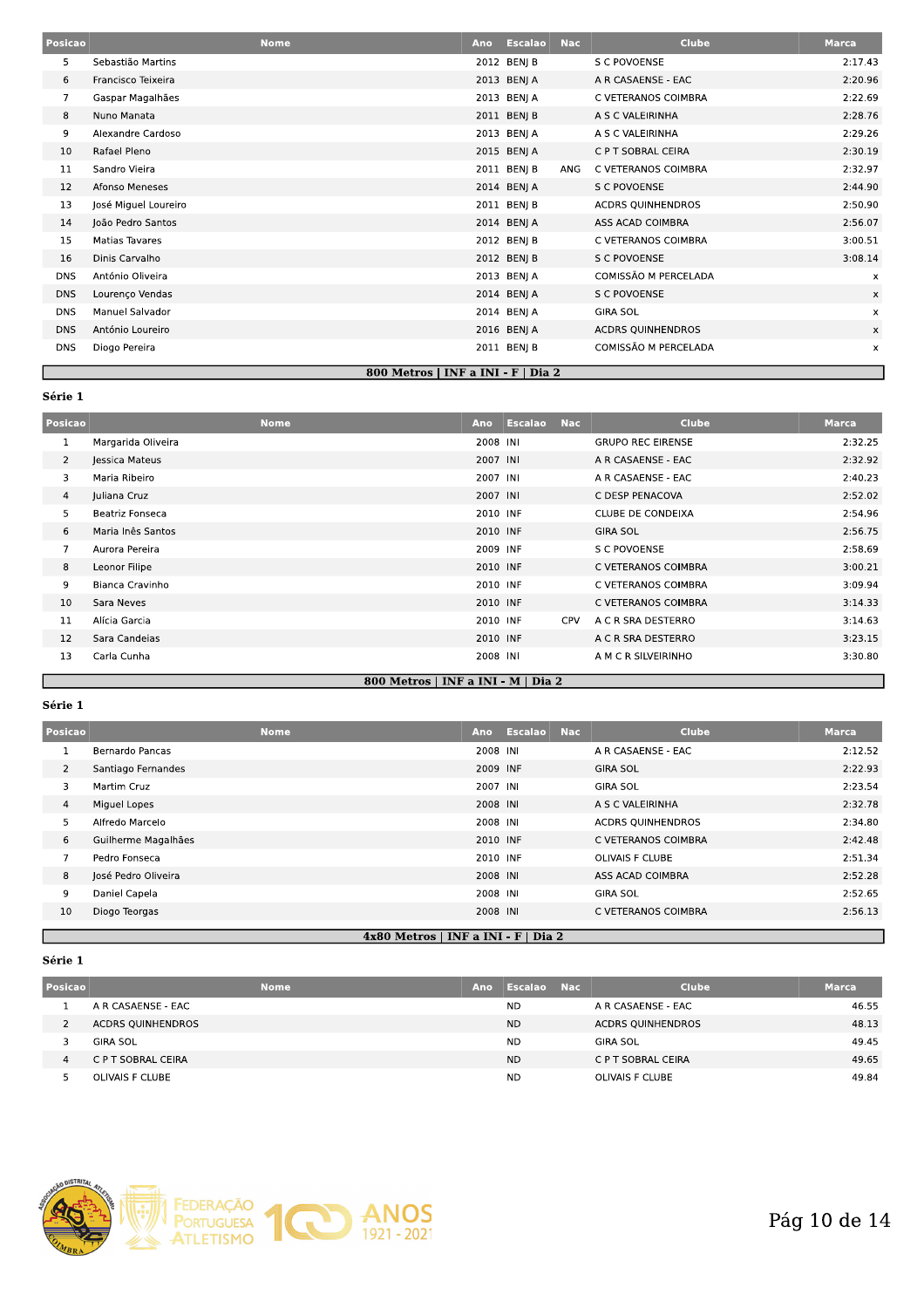| Posicao        |                      | <b>Nome</b>                        | Ano | Escalao     | <b>Nac</b> | <b>Clube</b>             | <b>Marca</b> |
|----------------|----------------------|------------------------------------|-----|-------------|------------|--------------------------|--------------|
| 5              | Sebastião Martins    |                                    |     | 2012 BENJ B |            | S C POVOENSE             | 2:17.43      |
| 6              | Francisco Teixeira   |                                    |     | 2013 BENJ A |            | A R CASAENSE - EAC       | 2:20.96      |
| $\overline{7}$ | Gaspar Magalhães     |                                    |     | 2013 BENJ A |            | C VETERANOS COIMBRA      | 2:22.69      |
| 8              | Nuno Manata          |                                    |     | 2011 BENJ B |            | A S C VALEIRINHA         | 2:28.76      |
| 9              | Alexandre Cardoso    |                                    |     | 2013 BENJ A |            | A S C VALEIRINHA         | 2:29.26      |
| 10             | Rafael Pleno         |                                    |     | 2015 BENJ A |            | C P T SOBRAL CEIRA       | 2:30.19      |
| 11             | Sandro Vieira        |                                    |     | 2011 BENJ B | ANG        | C VETERANOS COIMBRA      | 2:32.97      |
| 12             | Afonso Meneses       |                                    |     | 2014 BENJ A |            | S C POVOENSE             | 2:44.90      |
| 13             | José Miguel Loureiro |                                    |     | 2011 BENJ B |            | <b>ACDRS QUINHENDROS</b> | 2:50.90      |
| 14             | João Pedro Santos    |                                    |     | 2014 BENJ A |            | ASS ACAD COIMBRA         | 2:56.07      |
| 15             | Matias Tavares       |                                    |     | 2012 BENJ B |            | C VETERANOS COIMBRA      | 3:00.51      |
| 16             | Dinis Carvalho       |                                    |     | 2012 BENJ B |            | S C POVOENSE             | 3:08.14      |
| <b>DNS</b>     | António Oliveira     |                                    |     | 2013 BENJ A |            | COMISSÃO M PERCELADA     | х            |
| <b>DNS</b>     | Lourenço Vendas      |                                    |     | 2014 BENJ A |            | S C POVOENSE             | x            |
| <b>DNS</b>     | Manuel Salvador      |                                    |     | 2014 BENJ A |            | <b>GIRA SOL</b>          | x            |
| <b>DNS</b>     | António Loureiro     |                                    |     | 2016 BENJ A |            | <b>ACDRS QUINHENDROS</b> | x            |
| <b>DNS</b>     | Diogo Pereira        |                                    |     | 2011 BENJ B |            | COMISSÃO M PERCELADA     | x            |
|                |                      | 800 Metros   INF a INI - F   Dia 2 |     |             |            |                          |              |

| Posicao        |                    | <b>Nome</b> | Ano      | <b>Escalao</b> | <b>Nac</b> | <b>Clube</b>             | Marca   |
|----------------|--------------------|-------------|----------|----------------|------------|--------------------------|---------|
| 1              | Margarida Oliveira |             | 2008 INI |                |            | <b>GRUPO REC EIRENSE</b> | 2:32.25 |
| $\overline{2}$ | Jessica Mateus     |             | 2007 INI |                |            | A R CASAENSE - EAC       | 2:32.92 |
| 3              | Maria Ribeiro      |             | 2007 INI |                |            | A R CASAENSE - EAC       | 2:40.23 |
| 4              | Juliana Cruz       |             | 2007 INI |                |            | C DESP PENACOVA          | 2:52.02 |
| 5              | Beatriz Fonseca    |             | 2010 INF |                |            | CLUBE DE CONDEIXA        | 2:54.96 |
| 6              | Maria Inês Santos  |             | 2010 INF |                |            | GIRA SOL                 | 2:56.75 |
| $\overline{7}$ | Aurora Pereira     |             | 2009 INF |                |            | <b>S C POVOENSE</b>      | 2:58.69 |
| 8              | Leonor Filipe      |             | 2010 INF |                |            | C VETERANOS COIMBRA      | 3:00.21 |
| 9              | Bianca Cravinho    |             | 2010 INF |                |            | C VETERANOS COIMBRA      | 3:09.94 |
| 10             | Sara Neves         |             | 2010 INF |                |            | C VETERANOS COIMBRA      | 3:14.33 |
| 11             | Alícia Garcia      |             | 2010 INF |                | <b>CPV</b> | A C R SRA DESTERRO       | 3:14.63 |
| 12             | Sara Candeias      |             | 2010 INF |                |            | A C R SRA DESTERRO       | 3:23.15 |
| 13             | Carla Cunha        |             | 2008 INI |                |            | A M C R SILVEIRINHO      | 3:30.80 |

# 800 Metros | INF a INI - M | Dia 2

# Série 1

| Posicao        | <b>Nome</b>                           | Ano      | <b>Escalao</b> | <b>Nac</b> | <b>Clube</b>             | <b>Marca</b> |  |  |  |
|----------------|---------------------------------------|----------|----------------|------------|--------------------------|--------------|--|--|--|
|                | Bernardo Pancas                       | 2008 INI |                |            | A R CASAENSE - EAC       | 2:12.52      |  |  |  |
| $\overline{2}$ | Santiago Fernandes                    | 2009 INF |                |            | <b>GIRA SOL</b>          | 2:22.93      |  |  |  |
| 3              | Martim Cruz                           | 2007 INI |                |            | <b>GIRA SOL</b>          | 2:23.54      |  |  |  |
| $\overline{4}$ | Miguel Lopes                          | 2008 INI |                |            | A S C VALEIRINHA         | 2:32.78      |  |  |  |
| 5              | Alfredo Marcelo                       | 2008 INI |                |            | <b>ACDRS OUINHENDROS</b> | 2:34.80      |  |  |  |
| 6              | Guilherme Magalhães                   | 2010 INF |                |            | C VETERANOS COIMBRA      | 2:42.48      |  |  |  |
| 7              | Pedro Fonseca                         | 2010 INF |                |            | <b>OLIVAIS F CLUBE</b>   | 2:51.34      |  |  |  |
| 8              | José Pedro Oliveira                   | 2008 INI |                |            | ASS ACAD COIMBRA         | 2:52.28      |  |  |  |
| 9              | Daniel Capela                         | 2008 INI |                |            | <b>GIRA SOL</b>          | 2:52.65      |  |  |  |
| 10             | Diogo Teorgas                         | 2008 INI |                |            | C VETERANOS COIMBRA      | 2:56.13      |  |  |  |
|                | $4x80$ Metros   INF a INI - F   Dia 2 |          |                |            |                          |              |  |  |  |

| Posicao |                          | <b>Nome</b> | Ano | Escalao Nac | <b>Clube</b>             | <b>Marca</b> |
|---------|--------------------------|-------------|-----|-------------|--------------------------|--------------|
|         | A R CASAENSE - EAC       |             |     | <b>ND</b>   | A R CASAENSE - EAC       | 46.55        |
|         | <b>ACDRS QUINHENDROS</b> |             |     | <b>ND</b>   | <b>ACDRS OUINHENDROS</b> | 48.13        |
|         | GIRA SOL                 |             |     | <b>ND</b>   | <b>GIRA SOL</b>          | 49.45        |
| 4       | C P T SOBRAL CEIRA       |             |     | ND.         | C P T SOBRAL CEIRA       | 49.65        |
|         | OLIVAIS F CLUBE          |             |     | <b>ND</b>   | OLIVAIS F CLUBE          | 49.84        |

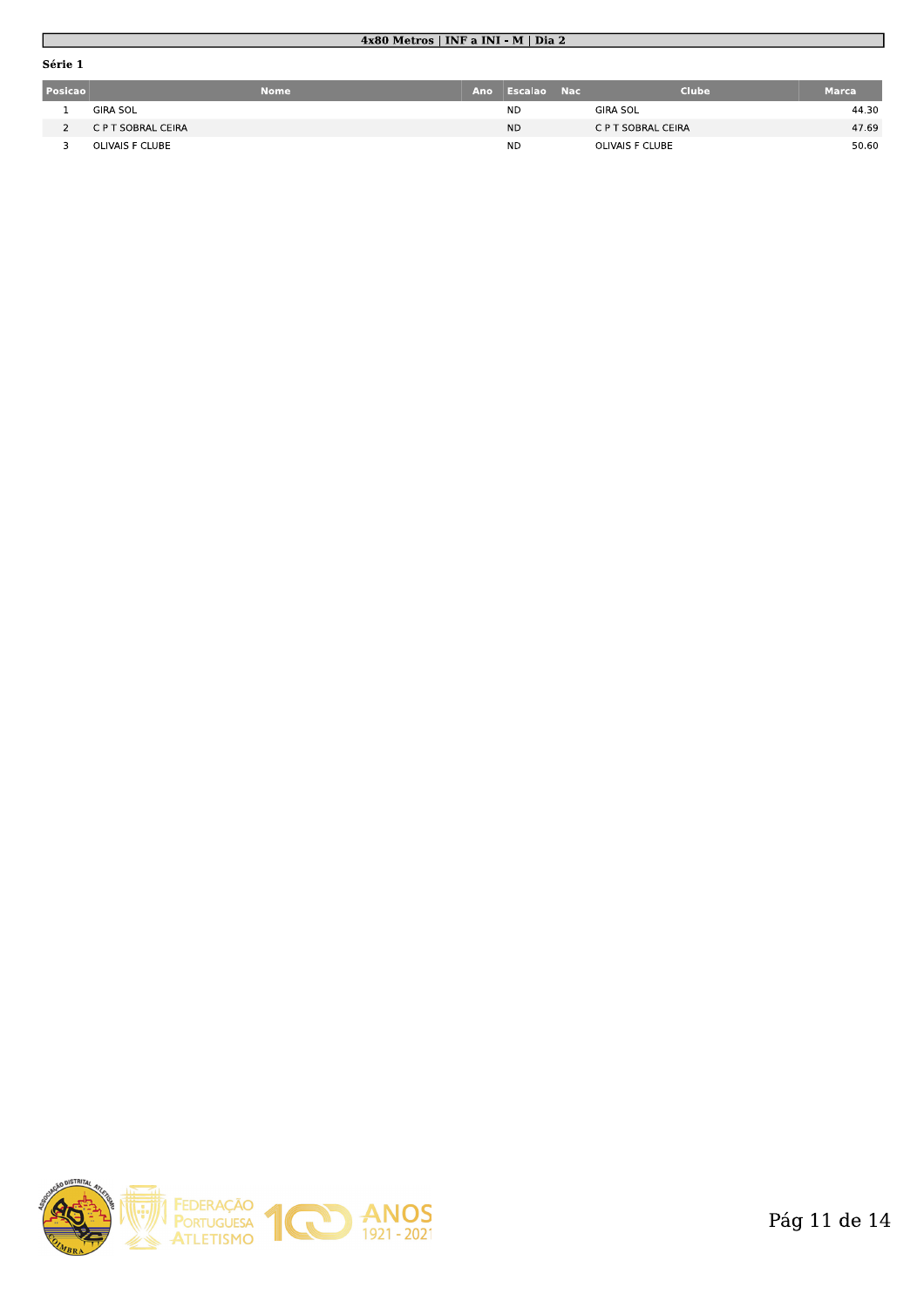# 4x80 Metros | INF a INI - M | Dia 2

| Posicao | <b>Nome</b>        | Ano | Escalao Nac | <b>Clube</b>       | <b>Marca</b> |
|---------|--------------------|-----|-------------|--------------------|--------------|
|         | <b>GIRA SOL</b>    |     | <b>ND</b>   | <b>GIRA SOL</b>    | 44.30        |
|         | C P T SOBRAL CEIRA |     | <b>ND</b>   | C P T SOBRAL CEIRA | 47.69        |
|         | OLIVAIS F CLUBE    |     | <b>ND</b>   | OLIVAIS F CLUBE    | 50.60        |

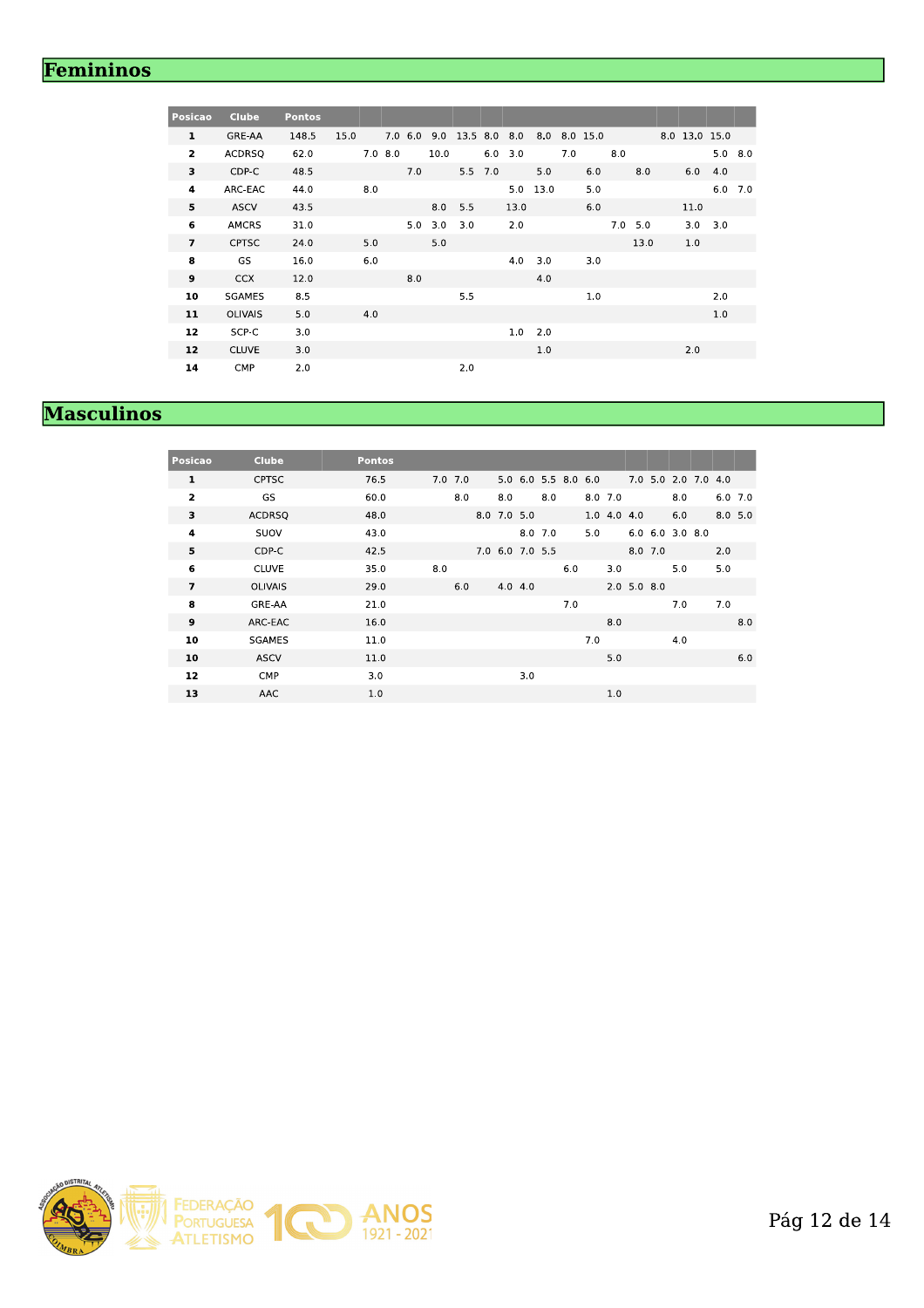# Femininos

| <b>Posicao</b> | <b>Clube</b>   | <b>Pontos</b> |      |            |     |                   |                          |           |      |           |     |              |     |                |               |                |  |
|----------------|----------------|---------------|------|------------|-----|-------------------|--------------------------|-----------|------|-----------|-----|--------------|-----|----------------|---------------|----------------|--|
| $\mathbf{1}$   | GRE-AA         | 148.5         | 15.0 |            |     |                   | 7.0 6.0 9.0 13.5 8.0 8.0 |           |      |           |     | 8.0 8.0 15.0 |     |                | 8.0 13.0 15.0 |                |  |
| $\overline{2}$ | <b>ACDRSQ</b>  | 62.0          |      | $7.0\;8.0$ |     | 10.0              |                          | $6.0$ 3.0 |      |           | 7.0 |              | 8.0 |                |               | $5.0\quad 8.0$ |  |
| 3              | CDP-C          | 48.5          |      |            | 7.0 |                   | 5.5 7.0                  |           |      | 5.0       |     | 6.0          |     | 8.0            | 6.0           | 4.0            |  |
| 4              | ARC-EAC        | 44.0          | 8.0  |            |     |                   |                          |           |      | 5.0 13.0  |     | 5.0          |     |                |               | $6.0$ 7.0      |  |
| 5              | ASCV           | 43.5          |      |            |     | 8.0               | 5.5                      |           | 13.0 |           |     | 6.0          |     |                | 11.0          |                |  |
| 6              | AMCRS          | 31.0          |      |            |     | $5.0$ $3.0$ $3.0$ |                          |           | 2.0  |           |     |              |     | $7.0\quad 5.0$ | $3.0$ $3.0$   |                |  |
| $\overline{ }$ | <b>CPTSC</b>   | 24.0          | 5.0  |            |     | 5.0               |                          |           |      |           |     |              |     | 13.0           | 1.0           |                |  |
| 8              | GS             | 16.0          | 6.0  |            |     |                   |                          |           |      | $4.0$ 3.0 |     | 3.0          |     |                |               |                |  |
| 9              | <b>CCX</b>     | 12.0          |      |            | 8.0 |                   |                          |           |      | 4.0       |     |              |     |                |               |                |  |
| 10             | <b>SGAMES</b>  | 8.5           |      |            |     |                   | 5.5                      |           |      |           |     | 1.0          |     |                |               | 2.0            |  |
| 11             | <b>OLIVAIS</b> | 5.0           | 4.0  |            |     |                   |                          |           |      |           |     |              |     |                |               | 1.0            |  |
| 12             | SCP-C          | 3.0           |      |            |     |                   |                          |           |      | $1.0$ 2.0 |     |              |     |                |               |                |  |
| 12             | <b>CLUVE</b>   | 3.0           |      |            |     |                   |                          |           |      | 1.0       |     |              |     |                | 2.0           |                |  |
| 14             | CMP            | 2.0           |      |            |     |                   | 2.0                      |           |      |           |     |              |     |                |               |                |  |

# **Masculinos**

| <b>Posicao</b>          | <b>Clube</b>   | <b>Pontos</b> |             |                 |     |                     |     |           |               |               |           |                         |           |     |
|-------------------------|----------------|---------------|-------------|-----------------|-----|---------------------|-----|-----------|---------------|---------------|-----------|-------------------------|-----------|-----|
| 1                       | <b>CPTSC</b>   | 76.5          | $7.0$ $7.0$ |                 |     | 5.0 6.0 5.5 8.0 6.0 |     |           |               |               |           | 7.0 5.0 2.0 7.0 4.0     |           |     |
| $\overline{\mathbf{z}}$ | GS             | 60.0          | 8.0         | 8.0             |     | 8.0                 |     | $8.0$ 7.0 |               |               |           | 8.0                     | $6.0$ 7.0 |     |
| 3                       | <b>ACDRSQ</b>  | 48.0          |             | 8.0 7.0 5.0     |     |                     |     |           | $1.0$ 4.0 4.0 |               |           | 6.0                     | 8.05.0    |     |
| 4                       | SUOV           | 43.0          |             |                 |     | 8.0 7.0             |     | 5.0       |               |               |           | $6.0$ $6.0$ $3.0$ $8.0$ |           |     |
| 5                       | CDP-C          | 42.5          |             | 7.0 6.0 7.0 5.5 |     |                     |     |           |               |               | $8.0$ 7.0 |                         | 2.0       |     |
| 6                       | <b>CLUVE</b>   | 35.0          | 8.0         |                 |     |                     | 6.0 |           | 3.0           |               |           | 5.0                     | 5.0       |     |
| $\overline{ }$          | <b>OLIVAIS</b> | 29.0          | 6.0         | 4.0 4.0         |     |                     |     |           |               | $2.0$ 5.0 8.0 |           |                         |           |     |
| 8                       | GRE-AA         | 21.0          |             |                 |     |                     | 7.0 |           |               |               |           | 7.0                     | 7.0       |     |
| 9                       | ARC-EAC        | 16.0          |             |                 |     |                     |     |           | 8.0           |               |           |                         |           | 8.0 |
| 10                      | <b>SGAMES</b>  | 11.0          |             |                 |     |                     |     | 7.0       |               |               |           | 4.0                     |           |     |
| 10                      | <b>ASCV</b>    | 11.0          |             |                 |     |                     |     |           | 5.0           |               |           |                         |           | 6.0 |
| 12                      | <b>CMP</b>     | 3.0           |             |                 | 3.0 |                     |     |           |               |               |           |                         |           |     |
| 13                      | AAC            | 1.0           |             |                 |     |                     |     |           | 1.0           |               |           |                         |           |     |

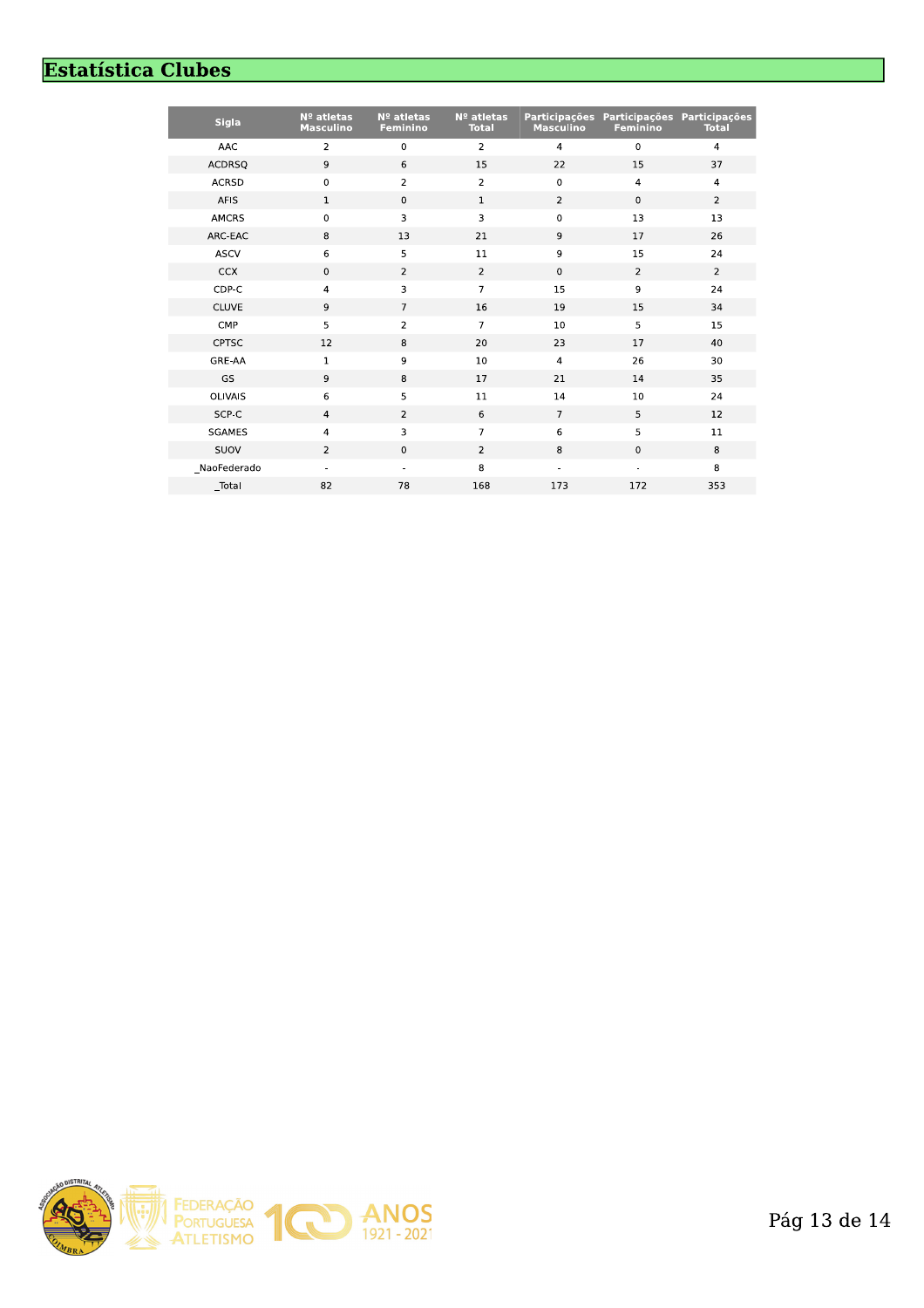# **Estatística Clubes**

| <b>Sigla</b>  | Nº atletas<br><b>Masculino</b> | Nº atletas<br><b>Feminino</b> | Nº atletas<br><b>Total</b> | <b>Participações</b><br><b>Masculino</b> | Participações<br>Feminino | Participações<br><b>Total</b> |
|---------------|--------------------------------|-------------------------------|----------------------------|------------------------------------------|---------------------------|-------------------------------|
| AAC           | $\overline{2}$                 | $\mathbf 0$                   | $\mathbf 2$                | $\overline{4}$                           | $\mathbf 0$               | $\overline{4}$                |
| <b>ACDRSQ</b> | 9                              | 6                             | 15                         | 22                                       | 15                        | 37                            |
| <b>ACRSD</b>  | $\mathbf 0$                    | $\overline{2}$                | $\overline{2}$             | $\mathbf 0$                              | $\overline{4}$            | $\overline{4}$                |
| AFIS          | $\mathbf{1}$                   | $\mathbf 0$                   | $\mathbf{1}$               | $\overline{2}$                           | $\mathbf 0$               | $\overline{2}$                |
| <b>AMCRS</b>  | 0                              | 3                             | 3                          | $\mathsf 0$                              | 13                        | 13                            |
| ARC-EAC       | 8                              | 13                            | 21                         | 9                                        | 17                        | 26                            |
| <b>ASCV</b>   | 6                              | 5                             | 11                         | 9                                        | 15                        | 24                            |
| <b>CCX</b>    | $\mathbf 0$                    | $\overline{2}$                | $\overline{2}$             | $\pmb{0}$                                | $\overline{2}$            | $\overline{2}$                |
| CDP-C         | $\overline{\mathbf{4}}$        | 3                             | $\overline{7}$             | 15                                       | 9                         | 24                            |
| <b>CLUVE</b>  | 9                              | $\overline{7}$                | 16                         | 19                                       | 15                        | 34                            |
| CMP           | 5                              | $\overline{2}$                | $\overline{7}$             | 10                                       | 5                         | 15                            |
| <b>CPTSC</b>  | 12                             | 8                             | 20                         | 23                                       | 17                        | 40                            |
| GRE-AA        | $\mathbf 1$                    | 9                             | 10                         | $\overline{4}$                           | 26                        | 30                            |
| GS            | 9                              | 8                             | 17                         | 21                                       | 14                        | 35                            |
| OLIVAIS       | 6                              | 5                             | $11\,$                     | 14                                       | 10                        | 24                            |
| SCP-C         | $\overline{4}$                 | $\overline{2}$                | 6                          | $\overline{7}$                           | 5                         | 12                            |
| <b>SGAMES</b> | $\overline{4}$                 | 3                             | $\overline{7}$             | 6                                        | 5                         | 11                            |
| SUOV          | $\overline{2}$                 | $\mathbf{0}$                  | $\overline{2}$             | 8                                        | $\mathbf 0$               | 8                             |
| NaoFederado   |                                |                               | 8                          |                                          |                           | 8                             |
| Total         | 82                             | 78                            | 168                        | 173                                      | 172                       | 353                           |